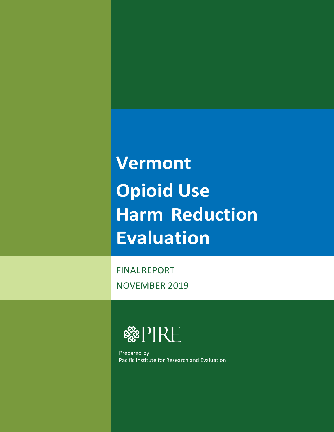**Vermont Opioid Use Harm Reduction Evaluation**

FINALREPORT NOVEMBER 2019



 Prepared by Pacific Institute for Research and Evaluation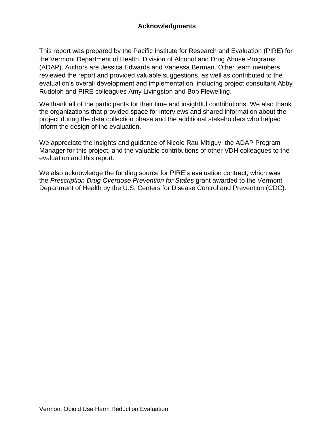This report was prepared by the Pacific Institute for Research and Evaluation (PIRE) for the Vermont Department of Health, Division of Alcohol and Drug Abuse Programs (ADAP). Authors are Jessica Edwards and Vanessa Berman. Other team members reviewed the report and provided valuable suggestions, as well as contributed to the evaluation's overall development and implementation, including project consultant Abby Rudolph and PIRE colleagues Amy Livingston and Bob Flewelling.

We thank all of the participants for their time and insightful contributions. We also thank the organizations that provided space for interviews and shared information about the project during the data collection phase and the additional stakeholders who helped inform the design of the evaluation.

We appreciate the insights and guidance of Nicole Rau Mitiguy, the ADAP Program Manager for this project, and the valuable contributions of other VDH colleagues to the evaluation and this report.

We also acknowledge the funding source for PIRE's evaluation contract, which was the *Prescription Drug Overdose Prevention for States* grant awarded to the Vermont Department of Health by the U.S. Centers for Disease Control and Prevention (CDC).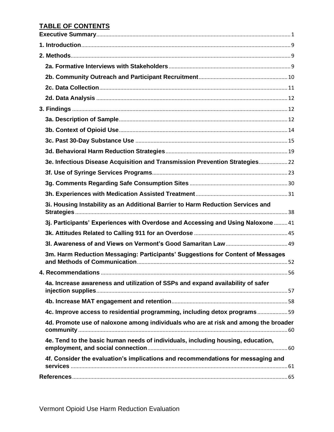## <span id="page-2-0"></span>**TABLE OF CONTENTS**

| 3e. Infectious Disease Acquisition and Transmission Prevention Strategies 22        |  |
|-------------------------------------------------------------------------------------|--|
|                                                                                     |  |
|                                                                                     |  |
|                                                                                     |  |
| 3i. Housing Instability as an Additional Barrier to Harm Reduction Services and     |  |
| 3j. Participants' Experiences with Overdose and Accessing and Using Naloxone  41    |  |
|                                                                                     |  |
|                                                                                     |  |
| 3m. Harm Reduction Messaging: Participants' Suggestions for Content of Messages     |  |
|                                                                                     |  |
| 4a. Increase awareness and utilization of SSPs and expand availability of safer     |  |
|                                                                                     |  |
| 4c. Improve access to residential programming, including detox programs59           |  |
| 4d. Promote use of naloxone among individuals who are at risk and among the broader |  |
| 4e. Tend to the basic human needs of individuals, including housing, education,     |  |
| 4f. Consider the evaluation's implications and recommendations for messaging and    |  |
|                                                                                     |  |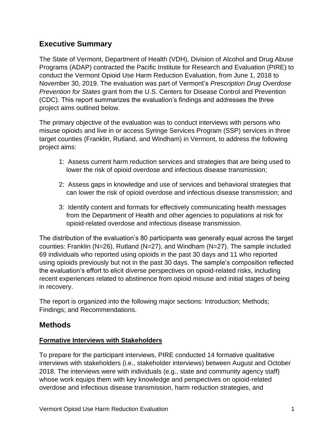## **Executive Summary**

The State of Vermont, Department of Health (VDH), Division of Alcohol and Drug Abuse Programs (ADAP) contracted the Pacific Institute for Research and Evaluation (PIRE) to conduct the Vermont Opioid Use Harm Reduction Evaluation, from June 1, 2018 to November 30, 2019. The evaluation was part of Vermont's *Prescription Drug Overdose Prevention for States* grant from the U.S. Centers for Disease Control and Prevention (CDC). This report summarizes the evaluation's findings and addresses the three project aims outlined below.

The primary objective of the evaluation was to conduct interviews with persons who misuse opioids and live in or access Syringe Services Program (SSP) services in three target counties (Franklin, Rutland, and Windham) in Vermont, to address the following project aims:

- 1: Assess current harm reduction services and strategies that are being used to lower the risk of opioid overdose and infectious disease transmission;
- 2: Assess gaps in knowledge and use of services and behavioral strategies that can lower the risk of opioid overdose and infectious disease transmission; and
- 3: Identify content and formats for effectively communicating health messages from the Department of Health and other agencies to populations at risk for opioid-related overdose and infectious disease transmission.

The distribution of the evaluation's 80 participants was generally equal across the target counties: Franklin (N=26), Rutland (N=27), and Windham (N=27). The sample included 69 individuals who reported using opioids in the past 30 days and 11 who reported using opioids previously but not in the past 30 days. The sample's composition reflected the evaluation's effort to elicit diverse perspectives on opioid-related risks, including recent experiences related to abstinence from opioid misuse and initial stages of being in recovery.

The report is organized into the following major sections: Introduction; Methods; Findings; and Recommendations.

## **Methods**

#### **Formative Interviews with Stakeholders**

To prepare for the participant interviews, PIRE conducted 14 formative qualitative interviews with stakeholders (i.e., stakeholder interviews) between August and October 2018. The interviews were with individuals (e.g., state and community agency staff) whose work equips them with key knowledge and perspectives on opioid-related overdose and infectious disease transmission, harm reduction strategies, and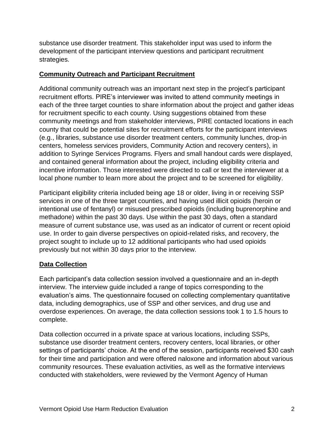substance use disorder treatment. This stakeholder input was used to inform the development of the participant interview questions and participant recruitment strategies.

#### **Community Outreach and Participant Recruitment**

Additional community outreach was an important next step in the project's participant recruitment efforts. PIRE's interviewer was invited to attend community meetings in each of the three target counties to share information about the project and gather ideas for recruitment specific to each county. Using suggestions obtained from these community meetings and from stakeholder interviews, PIRE contacted locations in each county that could be potential sites for recruitment efforts for the participant interviews (e.g., libraries, substance use disorder treatment centers, community lunches, drop-in centers, homeless services providers, Community Action and recovery centers), in addition to Syringe Services Programs. Flyers and small handout cards were displayed, and contained general information about the project, including eligibility criteria and incentive information. Those interested were directed to call or text the interviewer at a local phone number to learn more about the project and to be screened for eligibility.

Participant eligibility criteria included being age 18 or older, living in or receiving SSP services in one of the three target counties, and having used illicit opioids (heroin or intentional use of fentanyl) or misused prescribed opioids (including buprenorphine and methadone) within the past 30 days. Use within the past 30 days, often a standard measure of current substance use, was used as an indicator of current or recent opioid use. In order to gain diverse perspectives on opioid-related risks, and recovery, the project sought to include up to 12 additional participants who had used opioids previously but not within 30 days prior to the interview.

#### **Data Collection**

Each participant's data collection session involved a questionnaire and an in-depth interview. The interview guide included a range of topics corresponding to the evaluation's aims. The questionnaire focused on collecting complementary quantitative data, including demographics, use of SSP and other services, and drug use and overdose experiences. On average, the data collection sessions took 1 to 1.5 hours to complete.

Data collection occurred in a private space at various locations, including SSPs, substance use disorder treatment centers, recovery centers, local libraries, or other settings of participants' choice. At the end of the session, participants received \$30 cash for their time and participation and were offered naloxone and information about various community resources. These evaluation activities, as well as the formative interviews conducted with stakeholders, were reviewed by the Vermont Agency of Human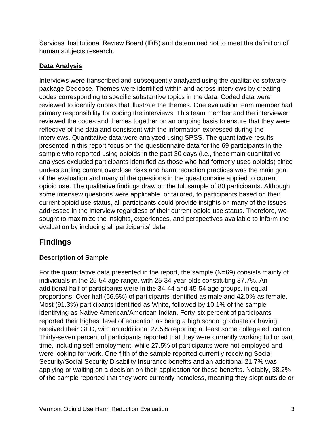Services' Institutional Review Board (IRB) and determined not to meet the definition of human subjects research.

## **Data Analysis**

Interviews were transcribed and subsequently analyzed using the qualitative software package Dedoose. Themes were identified within and across interviews by creating codes corresponding to specific substantive topics in the data. Coded data were reviewed to identify quotes that illustrate the themes. One evaluation team member had primary responsibility for coding the interviews. This team member and the interviewer reviewed the codes and themes together on an ongoing basis to ensure that they were reflective of the data and consistent with the information expressed during the interviews. Quantitative data were analyzed using SPSS. The quantitative results presented in this report focus on the questionnaire data for the 69 participants in the sample who reported using opioids in the past 30 days (i.e., these main quantitative analyses excluded participants identified as those who had formerly used opioids) since understanding current overdose risks and harm reduction practices was the main goal of the evaluation and many of the questions in the questionnaire applied to current opioid use. The qualitative findings draw on the full sample of 80 participants. Although some interview questions were applicable, or tailored, to participants based on their current opioid use status, all participants could provide insights on many of the issues addressed in the interview regardless of their current opioid use status. Therefore, we sought to maximize the insights, experiences, and perspectives available to inform the evaluation by including all participants' data.

# **Findings**

## **Description of Sample**

For the quantitative data presented in the report, the sample (N=69) consists mainly of individuals in the 25-54 age range, with 25-34-year-olds constituting 37.7%. An additional half of participants were in the 34-44 and 45-54 age groups, in equal proportions. Over half (56.5%) of participants identified as male and 42.0% as female. Most (91.3%) participants identified as White, followed by 10.1% of the sample identifying as Native American/American Indian. Forty-six percent of participants reported their highest level of education as being a high school graduate or having received their GED, with an additional 27.5% reporting at least some college education. Thirty-seven percent of participants reported that they were currently working full or part time, including self-employment, while 27.5% of participants were not employed and were looking for work. One-fifth of the sample reported currently receiving Social Security/Social Security Disability Insurance benefits and an additional 21.7% was applying or waiting on a decision on their application for these benefits. Notably, 38.2% of the sample reported that they were currently homeless, meaning they slept outside or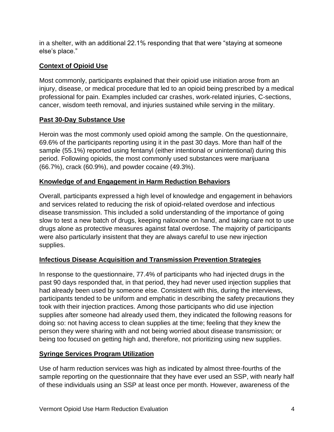in a shelter, with an additional 22.1% responding that that were "staying at someone else's place."

## **Context of Opioid Use**

Most commonly, participants explained that their opioid use initiation arose from an injury, disease, or medical procedure that led to an opioid being prescribed by a medical professional for pain. Examples included car crashes, work-related injuries, C-sections, cancer, wisdom teeth removal, and injuries sustained while serving in the military.

#### **Past 30-Day Substance Use**

Heroin was the most commonly used opioid among the sample. On the questionnaire, 69.6% of the participants reporting using it in the past 30 days. More than half of the sample (55.1%) reported using fentanyl (either intentional or unintentional) during this period. Following opioids, the most commonly used substances were marijuana (66.7%), crack (60.9%), and powder cocaine (49.3%).

#### **Knowledge of and Engagement in Harm Reduction Behaviors**

Overall, participants expressed a high level of knowledge and engagement in behaviors and services related to reducing the risk of opioid-related overdose and infectious disease transmission. This included a solid understanding of the importance of going slow to test a new batch of drugs, keeping naloxone on hand, and taking care not to use drugs alone as protective measures against fatal overdose. The majority of participants were also particularly insistent that they are always careful to use new injection supplies.

#### **Infectious Disease Acquisition and Transmission Prevention Strategies**

In response to the questionnaire, 77.4% of participants who had injected drugs in the past 90 days responded that, in that period, they had never used injection supplies that had already been used by someone else. Consistent with this, during the interviews, participants tended to be uniform and emphatic in describing the safety precautions they took with their injection practices. Among those participants who did use injection supplies after someone had already used them, they indicated the following reasons for doing so: not having access to clean supplies at the time; feeling that they knew the person they were sharing with and not being worried about disease transmission; or being too focused on getting high and, therefore, not prioritizing using new supplies.

#### **Syringe Services Program Utilization**

Use of harm reduction services was high as indicated by almost three-fourths of the sample reporting on the questionnaire that they have ever used an SSP, with nearly half of these individuals using an SSP at least once per month. However, awareness of the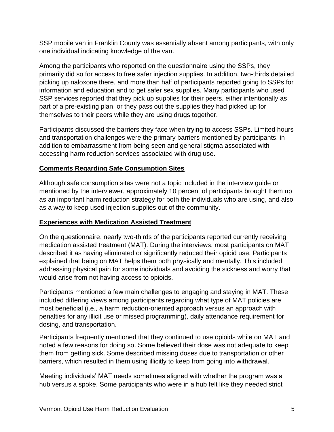SSP mobile van in Franklin County was essentially absent among participants, with only one individual indicating knowledge of the van.

Among the participants who reported on the questionnaire using the SSPs, they primarily did so for access to free safer injection supplies. In addition, two-thirds detailed picking up naloxone there, and more than half of participants reported going to SSPs for information and education and to get safer sex supplies. Many participants who used SSP services reported that they pick up supplies for their peers, either intentionally as part of a pre-existing plan, or they pass out the supplies they had picked up for themselves to their peers while they are using drugs together.

Participants discussed the barriers they face when trying to access SSPs. Limited hours and transportation challenges were the primary barriers mentioned by participants, in addition to embarrassment from being seen and general stigma associated with accessing harm reduction services associated with drug use.

#### **Comments Regarding Safe Consumption Sites**

Although safe consumption sites were not a topic included in the interview guide or mentioned by the interviewer, approximately 10 percent of participants brought them up as an important harm reduction strategy for both the individuals who are using, and also as a way to keep used injection supplies out of the community.

#### **Experiences with Medication Assisted Treatment**

On the questionnaire, nearly two-thirds of the participants reported currently receiving medication assisted treatment (MAT). During the interviews, most participants on MAT described it as having eliminated or significantly reduced their opioid use. Participants explained that being on MAT helps them both physically and mentally. This included addressing physical pain for some individuals and avoiding the sickness and worry that would arise from not having access to opioids.

Participants mentioned a few main challenges to engaging and staying in MAT. These included differing views among participants regarding what type of MAT policies are most beneficial (i.e., a harm reduction-oriented approach versus an approach with penalties for any illicit use or missed programming), daily attendance requirement for dosing, and transportation.

Participants frequently mentioned that they continued to use opioids while on MAT and noted a few reasons for doing so. Some believed their dose was not adequate to keep them from getting sick. Some described missing doses due to transportation or other barriers, which resulted in them using illicitly to keep from going into withdrawal.

Meeting individuals' MAT needs sometimes aligned with whether the program was a hub versus a spoke. Some participants who were in a hub felt like they needed strict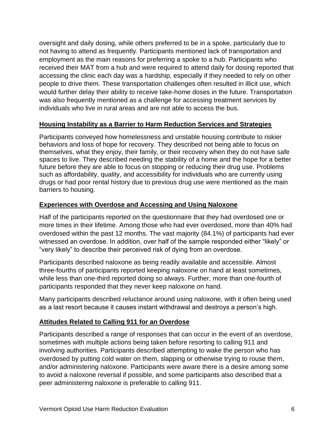oversight and daily dosing, while others preferred to be in a spoke, particularly due to not having to attend as frequently. Participants mentioned lack of transportation and employment as the main reasons for preferring a spoke to a hub. Participants who received their MAT from a hub and were required to attend daily for dosing reported that accessing the clinic each day was a hardship, especially if they needed to rely on other people to drive them. These transportation challenges often resulted in illicit use, which would further delay their ability to receive take-home doses in the future. Transportation was also frequently mentioned as a challenge for accessing treatment services by individuals who live in rural areas and are not able to access the bus.

#### **Housing Instability as a Barrier to Harm Reduction Services and Strategies**

Participants conveyed how homelessness and unstable housing contribute to riskier behaviors and loss of hope for recovery. They described not being able to focus on themselves, what they enjoy, their family, or their recovery when they do not have safe spaces to live. They described needing the stability of a home and the hope for a better future before they are able to focus on stopping or reducing their drug use. Problems such as affordability, quality, and accessibility for individuals who are currently using drugs or had poor rental history due to previous drug use were mentioned as the main barriers to housing.

#### **Experiences with Overdose and Accessing and Using Naloxone**

Half of the participants reported on the questionnaire that they had overdosed one or more times in their lifetime. Among those who had ever overdosed, more than 40% had overdosed within the past 12 months. The vast majority (84.1%) of participants had ever witnessed an overdose. In addition, over half of the sample responded either "likely" or "very likely" to describe their perceived risk of dying from an overdose.

Participants described naloxone as being readily available and accessible. Almost three-fourths of participants reported keeping naloxone on hand at least sometimes, while less than one-third reported doing so always. Further, more than one-fourth of participants responded that they never keep naloxone on hand.

Many participants described reluctance around using naloxone, with it often being used as a last resort because it causes instant withdrawal and destroys a person's high.

#### **Attitudes Related to Calling 911 for an Overdose**

Participants described a range of responses that can occur in the event of an overdose, sometimes with multiple actions being taken before resorting to calling 911 and involving authorities. Participants described attempting to wake the person who has overdosed by putting cold water on them, slapping or otherwise trying to rouse them, and/or administering naloxone. Participants were aware there is a desire among some to avoid a naloxone reversal if possible, and some participants also described that a peer administering naloxone is preferable to calling 911.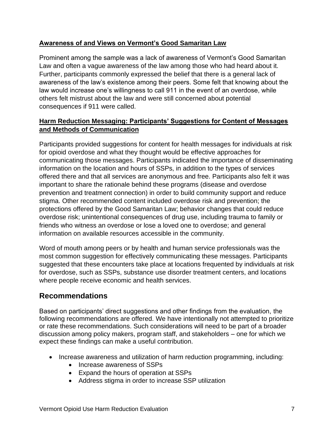#### **Awareness of and Views on Vermont's Good Samaritan Law**

Prominent among the sample was a lack of awareness of Vermont's Good Samaritan Law and often a vague awareness of the law among those who had heard about it. Further, participants commonly expressed the belief that there is a general lack of awareness of the law's existence among their peers. Some felt that knowing about the law would increase one's willingness to call 911 in the event of an overdose, while others felt mistrust about the law and were still concerned about potential consequences if 911 were called.

#### **Harm Reduction Messaging: Participants' Suggestions for Content of Messages and Methods of Communication**

Participants provided suggestions for content for health messages for individuals at risk for opioid overdose and what they thought would be effective approaches for communicating those messages. Participants indicated the importance of disseminating information on the location and hours of SSPs, in addition to the types of services offered there and that all services are anonymous and free. Participants also felt it was important to share the rationale behind these programs (disease and overdose prevention and treatment connection) in order to build community support and reduce stigma. Other recommended content included overdose risk and prevention; the protections offered by the Good Samaritan Law; behavior changes that could reduce overdose risk; unintentional consequences of drug use, including trauma to family or friends who witness an overdose or lose a loved one to overdose; and general information on available resources accessible in the community.

Word of mouth among peers or by health and human service professionals was the most common suggestion for effectively communicating these messages. Participants suggested that these encounters take place at locations frequented by individuals at risk for overdose, such as SSPs, substance use disorder treatment centers, and locations where people receive economic and health services.

## **Recommendations**

Based on participants' direct suggestions and other findings from the evaluation, the following recommendations are offered. We have intentionally not attempted to prioritize or rate these recommendations. Such considerations will need to be part of a broader discussion among policy makers, program staff, and stakeholders – one for which we expect these findings can make a useful contribution.

- Increase awareness and utilization of harm reduction programming, including:
	- Increase awareness of SSPs
	- Expand the hours of operation at SSPs
	- Address stigma in order to increase SSP utilization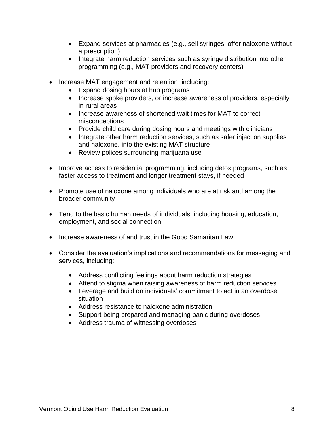- Expand services at pharmacies (e.g., sell syringes, offer naloxone without a prescription)
- Integrate harm reduction services such as syringe distribution into other programming (e.g., MAT providers and recovery centers)
- Increase MAT engagement and retention, including:
	- Expand dosing hours at hub programs
	- Increase spoke providers, or increase awareness of providers, especially in rural areas
	- Increase awareness of shortened wait times for MAT to correct misconceptions
	- Provide child care during dosing hours and meetings with clinicians
	- Integrate other harm reduction services, such as safer injection supplies and naloxone, into the existing MAT structure
	- Review polices surrounding marijuana use
- Improve access to residential programming, including detox programs, such as faster access to treatment and longer treatment stays, if needed
- Promote use of naloxone among individuals who are at risk and among the broader community
- Tend to the basic human needs of individuals, including housing, education, employment, and social connection
- Increase awareness of and trust in the Good Samaritan Law
- Consider the evaluation's implications and recommendations for messaging and services, including:
	- Address conflicting feelings about harm reduction strategies
	- Attend to stigma when raising awareness of harm reduction services
	- Leverage and build on individuals' commitment to act in an overdose situation
	- Address resistance to naloxone administration
	- Support being prepared and managing panic during overdoses
	- Address trauma of witnessing overdoses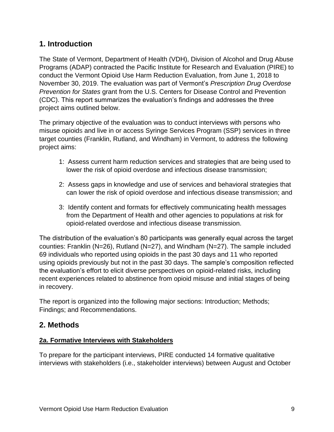## <span id="page-11-0"></span>**1. Introduction**

The State of Vermont, Department of Health (VDH), Division of Alcohol and Drug Abuse Programs (ADAP) contracted the Pacific Institute for Research and Evaluation (PIRE) to conduct the Vermont Opioid Use Harm Reduction Evaluation, from June 1, 2018 to November 30, 2019. The evaluation was part of Vermont's *Prescription Drug Overdose Prevention for States* grant from the U.S. Centers for Disease Control and Prevention (CDC). This report summarizes the evaluation's findings and addresses the three project aims outlined below.

The primary objective of the evaluation was to conduct interviews with persons who misuse opioids and live in or access Syringe Services Program (SSP) services in three target counties (Franklin, Rutland, and Windham) in Vermont, to address the following project aims:

- 1: Assess current harm reduction services and strategies that are being used to lower the risk of opioid overdose and infectious disease transmission;
- 2: Assess gaps in knowledge and use of services and behavioral strategies that can lower the risk of opioid overdose and infectious disease transmission; and
- 3: Identify content and formats for effectively communicating health messages from the Department of Health and other agencies to populations at risk for opioid-related overdose and infectious disease transmission.

The distribution of the evaluation's 80 participants was generally equal across the target counties: Franklin (N=26), Rutland (N=27), and Windham (N=27). The sample included 69 individuals who reported using opioids in the past 30 days and 11 who reported using opioids previously but not in the past 30 days. The sample's composition reflected the evaluation's effort to elicit diverse perspectives on opioid-related risks, including recent experiences related to abstinence from opioid misuse and initial stages of being in recovery.

The report is organized into the following major sections: Introduction; Methods; Findings; and Recommendations.

## <span id="page-11-1"></span>**2. Methods**

#### <span id="page-11-2"></span>**2a. Formative Interviews with Stakeholders**

To prepare for the participant interviews, PIRE conducted 14 formative qualitative interviews with stakeholders (i.e., stakeholder interviews) between August and October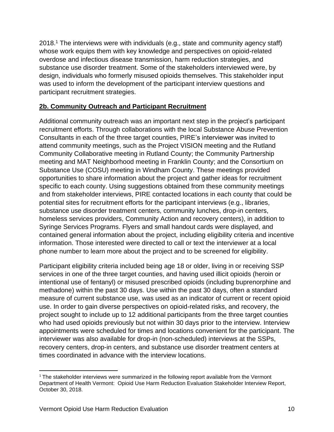2018. <sup>1</sup> The interviews were with individuals (e.g., state and community agency staff) whose work equips them with key knowledge and perspectives on opioid-related overdose and infectious disease transmission, harm reduction strategies, and substance use disorder treatment. Some of the stakeholders interviewed were, by design, individuals who formerly misused opioids themselves. This stakeholder input was used to inform the development of the participant interview questions and participant recruitment strategies.

#### <span id="page-12-0"></span>**2b. Community Outreach and Participant Recruitment**

Additional community outreach was an important next step in the project's participant recruitment efforts. Through collaborations with the local Substance Abuse Prevention Consultants in each of the three target counties, PIRE's interviewer was invited to attend community meetings, such as the Project VISION meeting and the Rutland Community Collaborative meeting in Rutland County; the Community Partnership meeting and MAT Neighborhood meeting in Franklin County; and the Consortium on Substance Use (COSU) meeting in Windham County. These meetings provided opportunities to share information about the project and gather ideas for recruitment specific to each county. Using suggestions obtained from these community meetings and from stakeholder interviews, PIRE contacted locations in each county that could be potential sites for recruitment efforts for the participant interviews (e.g., libraries, substance use disorder treatment centers, community lunches, drop-in centers, homeless services providers, Community Action and recovery centers), in addition to Syringe Services Programs. Flyers and small handout cards were displayed, and contained general information about the project, including eligibility criteria and incentive information. Those interested were directed to call or text the interviewer at a local phone number to learn more about the project and to be screened for eligibility.

Participant eligibility criteria included being age 18 or older, living in or receiving SSP services in one of the three target counties, and having used illicit opioids (heroin or intentional use of fentanyl) or misused prescribed opioids (including buprenorphine and methadone) within the past 30 days. Use within the past 30 days, often a standard measure of current substance use, was used as an indicator of current or recent opioid use. In order to gain diverse perspectives on opioid-related risks, and recovery, the project sought to include up to 12 additional participants from the three target counties who had used opioids previously but not within 30 days prior to the interview. Interview appointments were scheduled for times and locations convenient for the participant. The interviewer was also available for drop-in (non-scheduled) interviews at the SSPs, recovery centers, drop-in centers, and substance use disorder treatment centers at times coordinated in advance with the interview locations.

<sup>&</sup>lt;sup>1</sup> The stakeholder interviews were summarized in the following report available from the Vermont Department of Health Vermont: Opioid Use Harm Reduction Evaluation Stakeholder Interview Report, October 30, 2018.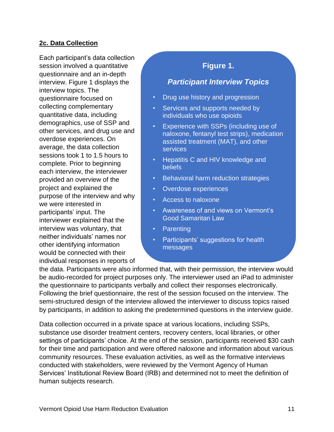#### <span id="page-13-0"></span>**2c. Data Collection**

Each participant's data collection session involved a quantitative questionnaire and an in-depth interview. Figure 1 displays the interview topics. The questionnaire focused on collecting complementary quantitative data, including demographics, use of SSP and other services, and drug use and overdose experiences. On average, the data collection sessions took 1 to 1.5 hours to complete. Prior to beginning each interview, the interviewer provided an overview of the project and explained the purpose of the interview and why we were interested in participants' input. The interviewer explained that the interview was voluntary, that neither individuals' names nor other identifying information would be connected with their individual responses in reports of

## **Figure 1.**

## *Participant Interview Topics*

- Drug use history and progression
- Services and supports needed by individuals who use opioids
- Experience with SSPs (including use of naloxone, fentanyl test strips), medication assisted treatment (MAT), and other services
- Hepatitis C and HIV knowledge and beliefs
- Behavioral harm reduction strategies
- Overdose experiences
- Access to naloxone
- Awareness of and views on Vermont's Good Samaritan Law
- **Parenting**
- Participants' suggestions for health messages

• Recent drug use trends in the community

marriadar respensee in repens or<br>the data. Participants were also informed that, with their permission, the interview would be audio-recorded for project purposes only. The interviewer used an iPad to administer the questionnaire to participants verbally and collect their responses electronically. Following the brief questionnaire, the rest of the session focused on the interview. The semi-structured design of the interview allowed the interviewer to discuss topics raised by participants, in addition to asking the predetermined questions in the interview guide.

Data collection occurred in a private space at various locations, including SSPs, substance use disorder treatment centers, recovery centers, local libraries, or other settings of participants' choice. At the end of the session, participants received \$30 cash for their time and participation and were offered naloxone and information about various community resources. These evaluation activities, as well as the formative interviews conducted with stakeholders, were reviewed by the Vermont Agency of Human Services' Institutional Review Board (IRB) and determined not to meet the definition of human subjects research.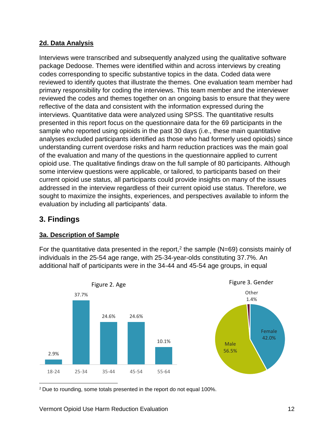#### <span id="page-14-0"></span>**2d. Data Analysis**

Interviews were transcribed and subsequently analyzed using the qualitative software package Dedoose. Themes were identified within and across interviews by creating codes corresponding to specific substantive topics in the data. Coded data were reviewed to identify quotes that illustrate the themes. One evaluation team member had primary responsibility for coding the interviews. This team member and the interviewer reviewed the codes and themes together on an ongoing basis to ensure that they were reflective of the data and consistent with the information expressed during the interviews. Quantitative data were analyzed using SPSS. The quantitative results presented in this report focus on the questionnaire data for the 69 participants in the sample who reported using opioids in the past 30 days (i.e., these main quantitative analyses excluded participants identified as those who had formerly used opioids) since understanding current overdose risks and harm reduction practices was the main goal of the evaluation and many of the questions in the questionnaire applied to current opioid use. The qualitative findings draw on the full sample of 80 participants. Although some interview questions were applicable, or tailored, to participants based on their current opioid use status, all participants could provide insights on many of the issues addressed in the interview regardless of their current opioid use status. Therefore, we sought to maximize the insights, experiences, and perspectives available to inform the evaluation by including all participants' data.

## <span id="page-14-1"></span>**3. Findings**

#### <span id="page-14-2"></span>**3a. Description of Sample**

For the quantitative data presented in the report,<sup>2</sup> the sample ( $N=69$ ) consists mainly of individuals in the 25-54 age range, with 25-34-year-olds constituting 37.7%. An additional half of participants were in the 34-44 and 45-54 age groups, in equal



<sup>2</sup> Due to rounding, some totals presented in the report do not equal 100%.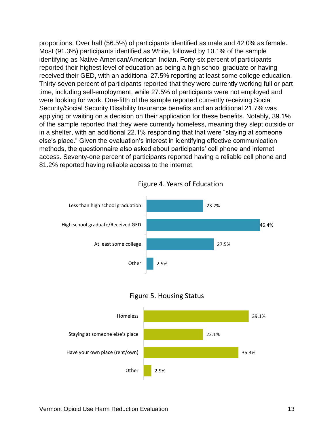proportions. Over half (56.5%) of participants identified as male and 42.0% as female. Most (91.3%) participants identified as White, followed by 10.1% of the sample identifying as Native American/American Indian. Forty-six percent of participants reported their highest level of education as being a high school graduate or having received their GED, with an additional 27.5% reporting at least some college education. Thirty-seven percent of participants reported that they were currently working full or part time, including self-employment, while 27.5% of participants were not employed and were looking for work. One-fifth of the sample reported currently receiving Social Security/Social Security Disability Insurance benefits and an additional 21.7% was applying or waiting on a decision on their application for these benefits. Notably, 39.1% of the sample reported that they were currently homeless, meaning they slept outside or in a shelter, with an additional 22.1% responding that that were "staying at someone else's place." Given the evaluation's interest in identifying effective communication methods, the questionnaire also asked about participants' cell phone and internet access. Seventy-one percent of participants reported having a reliable cell phone and 81.2% reported having reliable access to the internet.



#### Figure 4. Years of Education



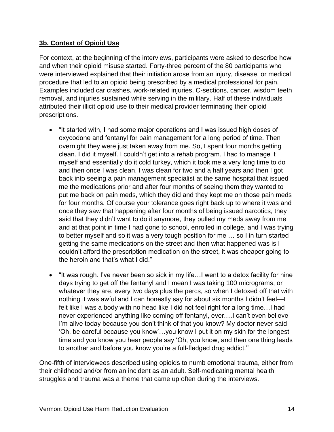#### <span id="page-16-0"></span>**3b. Context of Opioid Use**

For context, at the beginning of the interviews, participants were asked to describe how and when their opioid misuse started. Forty-three percent of the 80 participants who were interviewed explained that their initiation arose from an injury, disease, or medical procedure that led to an opioid being prescribed by a medical professional for pain. Examples included car crashes, work-related injuries, C-sections, cancer, wisdom teeth removal, and injuries sustained while serving in the military. Half of these individuals attributed their illicit opioid use to their medical provider terminating their opioid prescriptions.

- "It started with, I had some major operations and I was issued high doses of oxycodone and fentanyl for pain management for a long period of time. Then overnight they were just taken away from me. So, I spent four months getting clean. I did it myself. I couldn't get into a rehab program. I had to manage it myself and essentially do it cold turkey, which it took me a very long time to do and then once I was clean, I was clean for two and a half years and then I got back into seeing a pain management specialist at the same hospital that issued me the medications prior and after four months of seeing them they wanted to put me back on pain meds, which they did and they kept me on those pain meds for four months. Of course your tolerance goes right back up to where it was and once they saw that happening after four months of being issued narcotics, they said that they didn't want to do it anymore, they pulled my meds away from me and at that point in time I had gone to school, enrolled in college, and I was trying to better myself and so it was a very tough position for me … so I in turn started getting the same medications on the street and then what happened was is I couldn't afford the prescription medication on the street, it was cheaper going to the heroin and that's what I did."
- "It was rough. I've never been so sick in my life...I went to a detox facility for nine days trying to get off the fentanyl and I mean I was taking 100 micrograms, or whatever they are, every two days plus the percs, so when I detoxed off that with nothing it was awful and I can honestly say for about six months I didn't feel—I felt like I was a body with no head like I did not feel right for a long time…I had never experienced anything like coming off fentanyl, ever.…I can't even believe I'm alive today because you don't think of that you know? My doctor never said 'Oh, be careful because you know'…you know I put it on my skin for the longest time and you know you hear people say 'Oh, you know, and then one thing leads to another and before you know you're a full-fledged drug addict.'"

One-fifth of interviewees described using opioids to numb emotional trauma, either from their childhood and/or from an incident as an adult. Self-medicating mental health struggles and trauma was a theme that came up often during the interviews.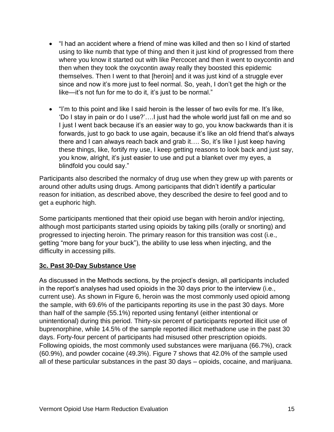- "I had an accident where a friend of mine was killed and then so I kind of started using to like numb that type of thing and then it just kind of progressed from there where you know it started out with like Percocet and then it went to oxycontin and then when they took the oxycontin away really they boosted this epidemic themselves. Then I went to that [heroin] and it was just kind of a struggle ever since and now it's more just to feel normal. So, yeah, I don't get the high or the like—it's not fun for me to do it, it's just to be normal."
- "I'm to this point and like I said heroin is the lesser of two evils for me. It's like, 'Do I stay in pain or do I use?'….I just had the whole world just fall on me and so I just I went back because it's an easier way to go, you know backwards than it is forwards, just to go back to use again, because it's like an old friend that's always there and I can always reach back and grab it…. So, it's like I just keep having these things, like, fortify my use, I keep getting reasons to look back and just say, you know, alright, it's just easier to use and put a blanket over my eyes, a blindfold you could say."

Participants also described the normalcy of drug use when they grew up with parents or around other adults using drugs. Among participants that didn't identify a particular reason for initiation, as described above, they described the desire to feel good and to get a euphoric high.

Some participants mentioned that their opioid use began with heroin and/or injecting, although most participants started using opioids by taking pills (orally or snorting) and progressed to injecting heroin. The primary reason for this transition was cost (i.e., getting "more bang for your buck"), the ability to use less when injecting, and the difficulty in accessing pills.

#### <span id="page-17-0"></span>**3c. Past 30-Day Substance Use**

As discussed in the Methods sections, by the project's design, all participants included in the report's analyses had used opioids in the 30 days prior to the interview (i.e., current use). As shown in Figure 6, heroin was the most commonly used opioid among the sample, with 69.6% of the participants reporting its use in the past 30 days. More than half of the sample (55.1%) reported using fentanyl (either intentional or unintentional) during this period. Thirty-six percent of participants reported illicit use of buprenorphine, while 14.5% of the sample reported illicit methadone use in the past 30 days. Forty-four percent of participants had misused other prescription opioids. Following opioids, the most commonly used substances were marijuana (66.7%), crack (60.9%), and powder cocaine (49.3%). Figure 7 shows that 42.0% of the sample used all of these particular substances in the past 30 days – opioids, cocaine, and marijuana.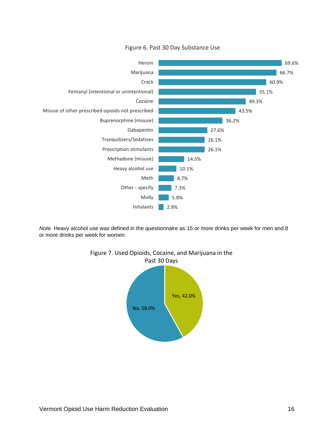

Figure 6. Past 30 Day Substance Use

*Note*. Heavy alcohol use was defined in the questionnaire as 15 or more drinks per week for men and 8 or more drinks per week for women.



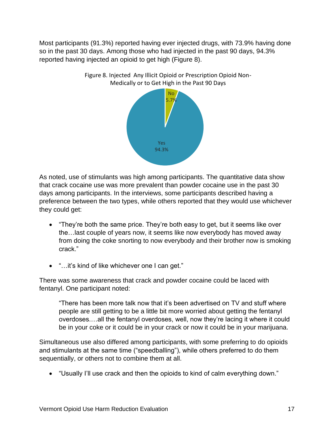Most participants (91.3%) reported having ever injected drugs, with 73.9% having done so in the past 30 days. Among those who had injected in the past 90 days, 94.3% reported having injected an opioid to get high (Figure 8).



Figure 8. Injected Any Illicit Opioid or Prescription Opioid Non-Medically or to Get High in the Past 90 Days

As noted, use of stimulants was high among participants. The quantitative data show that crack cocaine use was more prevalent than powder cocaine use in the past 30 days among participants. In the interviews, some participants described having a preference between the two types, while others reported that they would use whichever they could get:

- "They're both the same price. They're both easy to get, but it seems like over the…last couple of years now, it seems like now everybody has moved away from doing the coke snorting to now everybody and their brother now is smoking crack."
- "…it's kind of like whichever one I can get."

There was some awareness that crack and powder cocaine could be laced with fentanyl. One participant noted:

"There has been more talk now that it's been advertised on TV and stuff where people are still getting to be a little bit more worried about getting the fentanyl overdoses.…all the fentanyl overdoses, well, now they're lacing it where it could be in your coke or it could be in your crack or now it could be in your marijuana.

Simultaneous use also differed among participants, with some preferring to do opioids and stimulants at the same time ("speedballing"), while others preferred to do them sequentially, or others not to combine them at all.

• "Usually I'll use crack and then the opioids to kind of calm everything down."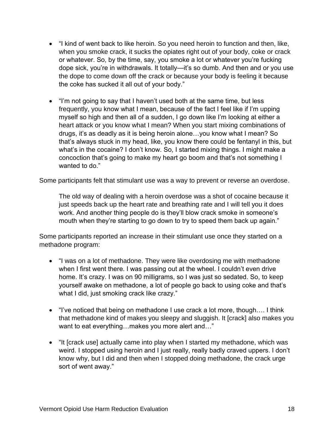- "I kind of went back to like heroin. So you need heroin to function and then, like, when you smoke crack, it sucks the opiates right out of your body, coke or crack or whatever. So, by the time, say, you smoke a lot or whatever you're fucking dope sick, you're in withdrawals. It totally—it's so dumb. And then and or you use the dope to come down off the crack or because your body is feeling it because the coke has sucked it all out of your body."
- "I'm not going to say that I haven't used both at the same time, but less frequently, you know what I mean, because of the fact I feel like if I'm upping myself so high and then all of a sudden, I go down like I'm looking at either a heart attack or you know what I mean? When you start mixing combinations of drugs, it's as deadly as it is being heroin alone…you know what I mean? So that's always stuck in my head, like, you know there could be fentanyl in this, but what's in the cocaine? I don't know. So, I started mixing things. I might make a concoction that's going to make my heart go boom and that's not something I wanted to do."

Some participants felt that stimulant use was a way to prevent or reverse an overdose.

The old way of dealing with a heroin overdose was a shot of cocaine because it just speeds back up the heart rate and breathing rate and I will tell you it does work. And another thing people do is they'll blow crack smoke in someone's mouth when they're starting to go down to try to speed them back up again."

Some participants reported an increase in their stimulant use once they started on a methadone program:

- "I was on a lot of methadone. They were like overdosing me with methadone when I first went there. I was passing out at the wheel. I couldn't even drive home. It's crazy. I was on 90 milligrams, so I was just so sedated. So, to keep yourself awake on methadone, a lot of people go back to using coke and that's what I did, just smoking crack like crazy."
- "I've noticed that being on methadone I use crack a lot more, though…. I think that methadone kind of makes you sleepy and sluggish. It [crack] also makes you want to eat everything...makes you more alert and..."
- "It [crack use] actually came into play when I started my methadone, which was weird. I stopped using heroin and I just really, really badly craved uppers. I don't know why, but I did and then when I stopped doing methadone, the crack urge sort of went away."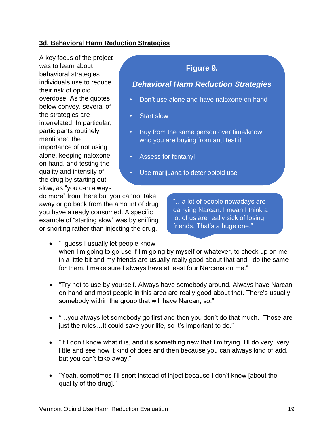#### <span id="page-21-0"></span>**3d. Behavioral Harm Reduction Strategies**

A key focus of the project was to learn about behavioral strategies individuals use to reduce their risk of opioid overdose. As the quotes below convey, several of the strategies are interrelated. In particular, participants routinely mentioned the importance of not using alone, keeping naloxone on hand, and testing the quality and intensity of the drug by starting out slow, as "you can always

## **Figure 9.**

## *Behavioral Harm Reduction Strategies*

- Don't use alone and have naloxone on hand
- Start slow
- Buy from the same person over time/know who you are buying from and test it
- Assess for fentanyl
- Use marijuana to deter opioid use

do more" from there but you cannot take away or go back from the amount of drug you have already consumed. A specific example of "starting slow" was by sniffing or snorting rather than injecting the drug.

"…a lot of people nowadays are carrying Narcan. I mean I think a lot of us are really sick of losing friends. That's a huge one."

- "I guess I usually let people know when I'm going to go use if I'm going by myself or whatever, to check up on me in a little bit and my friends are usually really good about that and I do the same for them. I make sure I always have at least four Narcans on me."
- "Try not to use by yourself. Always have somebody around. Always have Narcan on hand and most people in this area are really good about that. There's usually somebody within the group that will have Narcan, so."
- "…you always let somebody go first and then you don't do that much. Those are just the rules...It could save your life, so it's important to do."
- "If I don't know what it is, and it's something new that I'm trying, I'll do very, very little and see how it kind of does and then because you can always kind of add, but you can't take away."
- "Yeah, sometimes I'll snort instead of inject because I don't know [about the quality of the drug]."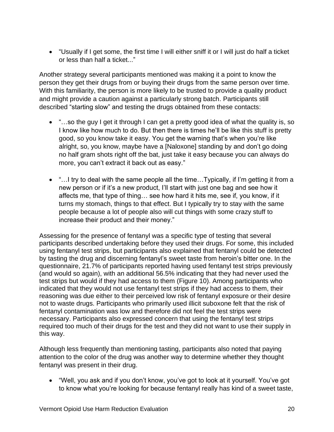• "Usually if I get some, the first time I will either sniff it or I will just do half a ticket or less than half a ticket..."

Another strategy several participants mentioned was making it a point to know the person they get their drugs from or buying their drugs from the same person over time. With this familiarity, the person is more likely to be trusted to provide a quality product and might provide a caution against a particularly strong batch. Participants still described "starting slow" and testing the drugs obtained from these contacts:

- "...so the guy I get it through I can get a pretty good idea of what the quality is, so I know like how much to do. But then there is times he'll be like this stuff is pretty good, so you know take it easy. You get the warning that's when you're like alright, so, you know, maybe have a [Naloxone] standing by and don't go doing no half gram shots right off the bat, just take it easy because you can always do more, you can't extract it back out as easy."
- "...I try to deal with the same people all the time...Typically, if I'm getting it from a new person or if it's a new product, I'll start with just one bag and see how it affects me, that type of thing… see how hard it hits me, see if, you know, if it turns my stomach, things to that effect. But I typically try to stay with the same people because a lot of people also will cut things with some crazy stuff to increase their product and their money."

Assessing for the presence of fentanyl was a specific type of testing that several participants described undertaking before they used their drugs. For some, this included using fentanyl test strips, but participants also explained that fentanyl could be detected by tasting the drug and discerning fentanyl's sweet taste from heroin's bitter one. In the questionnaire, 21.7% of participants reported having used fentanyl test strips previously (and would so again), with an additional 56.5% indicating that they had never used the test strips but would if they had access to them (Figure 10). Among participants who indicated that they would not use fentanyl test strips if they had access to them, their reasoning was due either to their perceived low risk of fentanyl exposure or their desire not to waste drugs. Participants who primarily used illicit suboxone felt that the risk of fentanyl contamination was low and therefore did not feel the test strips were necessary. Participants also expressed concern that using the fentanyl test strips required too much of their drugs for the test and they did not want to use their supply in this way.

Although less frequently than mentioning tasting, participants also noted that paying attention to the color of the drug was another way to determine whether they thought fentanyl was present in their drug.

• "Well, you ask and if you don't know, you've got to look at it yourself. You've got to know what you're looking for because fentanyl really has kind of a sweet taste,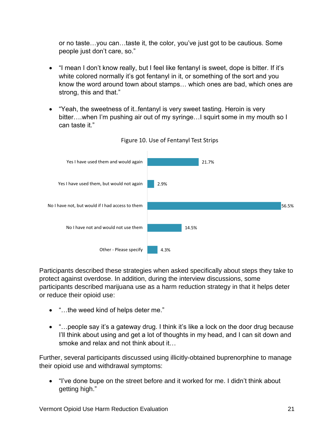or no taste…you can…taste it, the color, you've just got to be cautious. Some people just don't care, so."

- "I mean I don't know really, but I feel like fentanyl is sweet, dope is bitter. If it's white colored normally it's got fentanyl in it, or something of the sort and you know the word around town about stamps… which ones are bad, which ones are strong, this and that."
- "Yeah, the sweetness of it..fentanyl is very sweet tasting. Heroin is very bitter...when I'm pushing air out of my syringe...I squirt some in my mouth so I can taste it."



Figure 10. Use of Fentanyl Test Strips

Participants described these strategies when asked specifically about steps they take to protect against overdose. In addition, during the interview discussions, some participants described marijuana use as a harm reduction strategy in that it helps deter or reduce their opioid use:

- "...the weed kind of helps deter me."
- "... people say it's a gateway drug. I think it's like a lock on the door drug because I'll think about using and get a lot of thoughts in my head, and I can sit down and smoke and relax and not think about it…

Further, several participants discussed using illicitly-obtained buprenorphine to manage their opioid use and withdrawal symptoms:

• "I've done bupe on the street before and it worked for me. I didn't think about getting high."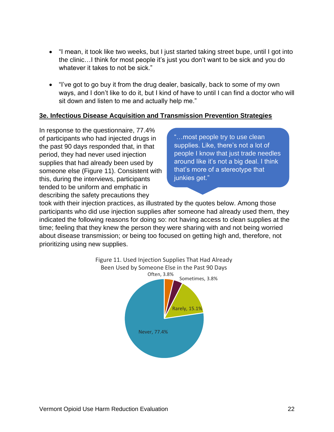- "I mean, it took like two weeks, but I just started taking street bupe, until I got into the clinic…I think for most people it's just you don't want to be sick and you do whatever it takes to not be sick."
- "I've got to go buy it from the drug dealer, basically, back to some of my own ways, and I don't like to do it, but I kind of have to until I can find a doctor who will sit down and listen to me and actually help me."

#### <span id="page-24-0"></span>**3e. Infectious Disease Acquisition and Transmission Prevention Strategies**

In response to the questionnaire, 77.4% of participants who had injected drugs in the past 90 days responded that, in that period, they had never used injection supplies that had already been used by someone else (Figure 11). Consistent with this, during the interviews, participants tended to be uniform and emphatic in describing the safety precautions they

"…most people try to use clean supplies. Like, there's not a lot of people I know that just trade needles around like it's not a big deal. I think that's more of a stereotype that junkies get."

took with their injection practices, as illustrated by the quotes below. Among those participants who did use injection supplies after someone had already used them, they indicated the following reasons for doing so: not having access to clean supplies at the time; feeling that they knew the person they were sharing with and not being worried about disease transmission; or being too focused on getting high and, therefore, not prioritizing using new supplies.

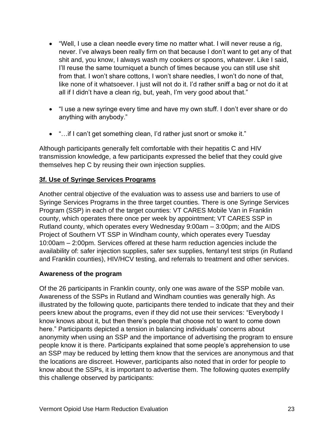- "Well, I use a clean needle every time no matter what. I will never reuse a rig, never. I've always been really firm on that because I don't want to get any of that shit and, you know, I always wash my cookers or spoons, whatever. Like I said, I'll reuse the same tourniquet a bunch of times because you can still use shit from that. I won't share cottons, I won't share needles, I won't do none of that, like none of it whatsoever. I just will not do it. I'd rather sniff a bag or not do it at all if I didn't have a clean rig, but, yeah, I'm very good about that."
- "I use a new syringe every time and have my own stuff. I don't ever share or do anything with anybody."
- "...if I can't get something clean, I'd rather just snort or smoke it."

Although participants generally felt comfortable with their hepatitis C and HIV transmission knowledge, a few participants expressed the belief that they could give themselves hep C by reusing their own injection supplies.

#### <span id="page-25-0"></span>**3f. Use of Syringe Services Programs**

Another central objective of the evaluation was to assess use and barriers to use of Syringe Services Programs in the three target counties. There is one Syringe Services Program (SSP) in each of the target counties: VT CARES Mobile Van in Franklin county, which operates there once per week by appointment; VT CARES SSP in Rutland county, which operates every Wednesday 9:00am – 3:00pm; and the AIDS Project of Southern VT SSP in Windham county, which operates every Tuesday 10:00am – 2:00pm. Services offered at these harm reduction agencies include the availability of: safer injection supplies, safer sex supplies, fentanyl test strips (in Rutland and Franklin counties), HIV/HCV testing, and referrals to treatment and other services.

#### **Awareness of the program**

Of the 26 participants in Franklin county, only one was aware of the SSP mobile van. Awareness of the SSPs in Rutland and Windham counties was generally high. As illustrated by the following quote, participants there tended to indicate that they and their peers knew about the programs, even if they did not use their services: "Everybody I know knows about it, but then there's people that choose not to want to come down here." Participants depicted a tension in balancing individuals' concerns about anonymity when using an SSP and the importance of advertising the program to ensure people know it is there. Participants explained that some people's apprehension to use an SSP may be reduced by letting them know that the services are anonymous and that the locations are discreet. However, participants also noted that in order for people to know about the SSPs, it is important to advertise them. The following quotes exemplify this challenge observed by participants: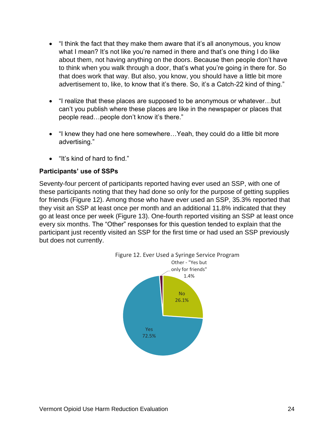- "I think the fact that they make them aware that it's all anonymous, you know what I mean? It's not like you're named in there and that's one thing I do like about them, not having anything on the doors. Because then people don't have to think when you walk through a door, that's what you're going in there for. So that does work that way. But also, you know, you should have a little bit more advertisement to, like, to know that it's there. So, it's a Catch-22 kind of thing."
- "I realize that these places are supposed to be anonymous or whatever…but can't you publish where these places are like in the newspaper or places that people read…people don't know it's there."
- "I knew they had one here somewhere…Yeah, they could do a little bit more advertising."
- "It's kind of hard to find."

#### **Participants' use of SSPs**

Seventy-four percent of participants reported having ever used an SSP, with one of these participants noting that they had done so only for the purpose of getting supplies for friends (Figure 12). Among those who have ever used an SSP, 35.3% reported that they visit an SSP at least once per month and an additional 11.8% indicated that they go at least once per week (Figure 13). One-fourth reported visiting an SSP at least once every six months. The "Other" responses for this question tended to explain that the participant just recently visited an SSP for the first time or had used an SSP previously but does not currently.

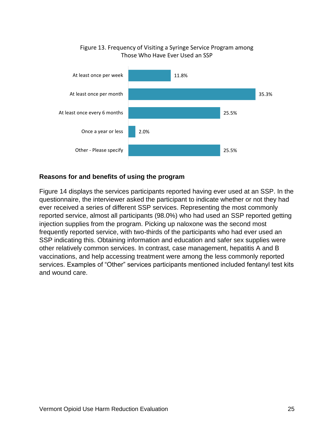## 11.8% 35.3% 25.5% 2.0% 25.5% At least once per week At least once per month At least once every 6 months Once a year or less Other - Please specify Those Who Have Ever Used an SSP

# Figure 13. Frequency of Visiting a Syringe Service Program among

#### **Reasons for and benefits of using the program**

Figure 14 displays the services participants reported having ever used at an SSP. In the questionnaire, the interviewer asked the participant to indicate whether or not they had ever received a series of different SSP services. Representing the most commonly reported service, almost all participants (98.0%) who had used an SSP reported getting injection supplies from the program. Picking up naloxone was the second most frequently reported service, with two-thirds of the participants who had ever used an SSP indicating this. Obtaining information and education and safer sex supplies were other relatively common services. In contrast, case management, hepatitis A and B vaccinations, and help accessing treatment were among the less commonly reported services. Examples of "Other" services participants mentioned included fentanyl test kits and wound care.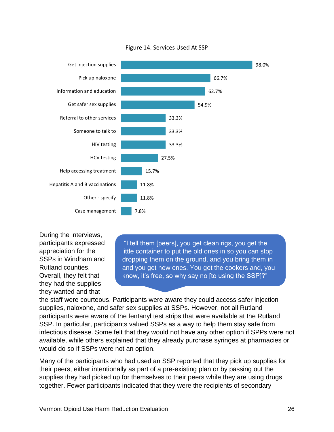

#### Figure 14. Services Used At SSP

During the interviews, participants expressed appreciation for the SSPs in Windham and Rutland counties. Overall, they felt that they had the supplies they wanted and that

"I tell them [peers], you get clean rigs, you get the little container to put the old ones in so you can stop dropping them on the ground, and you bring them in and you get new ones. You get the cookers and, you know, it's free, so why say no [to using the SSP]?"

the staff were courteous. Participants were aware they could access safer injection supplies, naloxone, and safer sex supplies at SSPs. However, not all Rutland participants were aware of the fentanyl test strips that were available at the Rutland SSP. In particular, participants valued SSPs as a way to help them stay safe from infectious disease. Some felt that they would not have any other option if SPPs were not available, while others explained that they already purchase syringes at pharmacies or would do so if SSPs were not an option.

Many of the participants who had used an SSP reported that they pick up supplies for their peers, either intentionally as part of a pre-existing plan or by passing out the supplies they had picked up for themselves to their peers while they are using drugs together. Fewer participants indicated that they were the recipients of secondary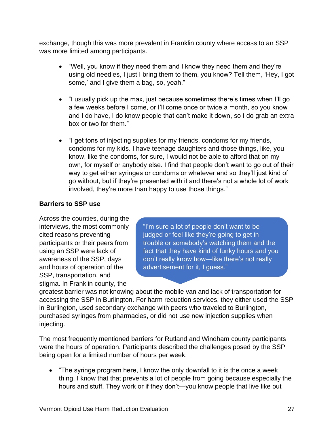exchange, though this was more prevalent in Franklin county where access to an SSP was more limited among participants.

- "Well, you know if they need them and I know they need them and they're using old needles, I just I bring them to them, you know? Tell them, 'Hey, I got some,' and I give them a bag, so, yeah."
- "I usually pick up the max, just because sometimes there's times when I'll go a few weeks before I come, or I'll come once or twice a month, so you know and I do have, I do know people that can't make it down, so I do grab an extra box or two for them."
- "I get tons of injecting supplies for my friends, condoms for my friends, condoms for my kids. I have teenage daughters and those things, like, you know, like the condoms, for sure, I would not be able to afford that on my own, for myself or anybody else. I find that people don't want to go out of their way to get either syringes or condoms or whatever and so they'll just kind of go without, but if they're presented with it and there's not a whole lot of work involved, they're more than happy to use those things."

## **Barriers to SSP use**

Across the counties, during the interviews, the most commonly cited reasons preventing participants or their peers from using an SSP were lack of awareness of the SSP, days and hours of operation of the SSP, transportation, and stigma. In Franklin county, the

"I'm sure a lot of people don't want to be judged or feel like they're going to get in trouble or somebody's watching them and the fact that they have kind of funky hours and you don't really know how—like there's not really advertisement for it, I guess."

greatest barrier was not knowing about the mobile van and lack of transportation for accessing the SSP in Burlington. For harm reduction services, they either used the SSP in Burlington, used secondary exchange with peers who traveled to Burlington, purchased syringes from pharmacies, or did not use new injection supplies when injecting.

The most frequently mentioned barriers for Rutland and Windham county participants were the hours of operation. Participants described the challenges posed by the SSP being open for a limited number of hours per week:

• "The syringe program here, I know the only downfall to it is the once a week thing. I know that that prevents a lot of people from going because especially the hours and stuff. They work or if they don't—you know people that live like out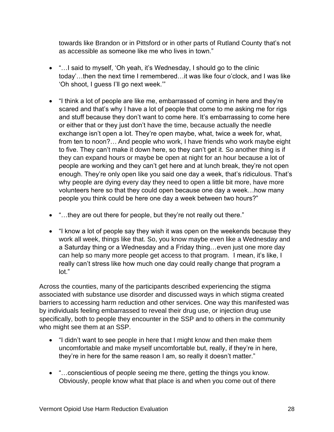towards like Brandon or in Pittsford or in other parts of Rutland County that's not as accessible as someone like me who lives in town."

- "…I said to myself, 'Oh yeah, it's Wednesday, I should go to the clinic today'…then the next time I remembered…it was like four o'clock, and I was like 'Oh shoot, I guess I'll go next week.'"
- "I think a lot of people are like me, embarrassed of coming in here and they're scared and that's why I have a lot of people that come to me asking me for rigs and stuff because they don't want to come here. It's embarrassing to come here or either that or they just don't have the time, because actually the needle exchange isn't open a lot. They're open maybe, what, twice a week for, what, from ten to noon?… And people who work, I have friends who work maybe eight to five. They can't make it down here, so they can't get it. So another thing is if they can expand hours or maybe be open at night for an hour because a lot of people are working and they can't get here and at lunch break, they're not open enough. They're only open like you said one day a week, that's ridiculous. That's why people are dying every day they need to open a little bit more, have more volunteers here so that they could open because one day a week…how many people you think could be here one day a week between two hours?"
- "...they are out there for people, but they're not really out there."
- "I know a lot of people say they wish it was open on the weekends because they work all week, things like that. So, you know maybe even like a Wednesday and a Saturday thing or a Wednesday and a Friday thing…even just one more day can help so many more people get access to that program. I mean, it's like, I really can't stress like how much one day could really change that program a lot."

Across the counties, many of the participants described experiencing the stigma associated with substance use disorder and discussed ways in which stigma created barriers to accessing harm reduction and other services. One way this manifested was by individuals feeling embarrassed to reveal their drug use, or injection drug use specifically, both to people they encounter in the SSP and to others in the community who might see them at an SSP.

- "I didn't want to see people in here that I might know and then make them uncomfortable and make myself uncomfortable but, really, if they're in here, they're in here for the same reason I am, so really it doesn't matter."
- "…conscientious of people seeing me there, getting the things you know. Obviously, people know what that place is and when you come out of there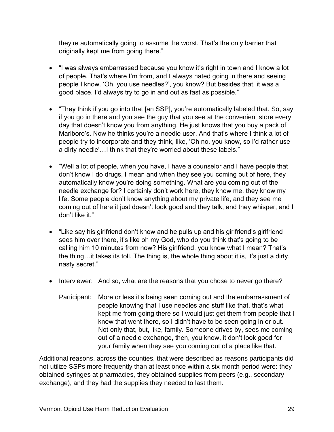they're automatically going to assume the worst. That's the only barrier that originally kept me from going there."

- "I was always embarrassed because you know it's right in town and I know a lot of people. That's where I'm from, and I always hated going in there and seeing people I know. 'Oh, you use needles?', you know? But besides that, it was a good place. I'd always try to go in and out as fast as possible."
- "They think if you go into that [an SSP], you're automatically labeled that. So, say if you go in there and you see the guy that you see at the convenient store every day that doesn't know you from anything. He just knows that you buy a pack of Marlboro's. Now he thinks you're a needle user. And that's where I think a lot of people try to incorporate and they think, like, 'Oh no, you know, so I'd rather use a dirty needle'…I think that they're worried about these labels."
- "Well a lot of people, when you have, I have a counselor and I have people that don't know I do drugs, I mean and when they see you coming out of here, they automatically know you're doing something. What are you coming out of the needle exchange for? I certainly don't work here, they know me, they know my life. Some people don't know anything about my private life, and they see me coming out of here it just doesn't look good and they talk, and they whisper, and I don't like it."
- "Like say his girlfriend don't know and he pulls up and his girlfriend's girlfriend sees him over there, it's like oh my God, who do you think that's going to be calling him 10 minutes from now? His girlfriend, you know what I mean? That's the thing…it takes its toll. The thing is, the whole thing about it is, it's just a dirty, nasty secret."
- Interviewer: And so, what are the reasons that you chose to never go there?
	- Participant: More or less it's being seen coming out and the embarrassment of people knowing that I use needles and stuff like that, that's what kept me from going there so I would just get them from people that I knew that went there, so I didn't have to be seen going in or out. Not only that, but, like, family. Someone drives by, sees me coming out of a needle exchange, then, you know, it don't look good for your family when they see you coming out of a place like that.

Additional reasons, across the counties, that were described as reasons participants did not utilize SSPs more frequently than at least once within a six month period were: they obtained syringes at pharmacies, they obtained supplies from peers (e.g., secondary exchange), and they had the supplies they needed to last them.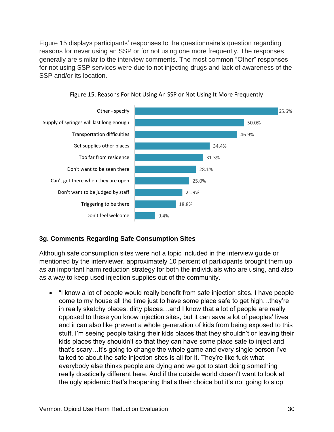Figure 15 displays participants' responses to the questionnaire's question regarding reasons for never using an SSP or for not using one more frequently. The responses generally are similar to the interview comments. The most common "Other" responses for not using SSP services were due to not injecting drugs and lack of awareness of the SSP and/or its location.





#### <span id="page-32-0"></span>**3g. Comments Regarding Safe Consumption Sites**

Although safe consumption sites were not a topic included in the interview guide or mentioned by the interviewer, approximately 10 percent of participants brought them up as an important harm reduction strategy for both the individuals who are using, and also as a way to keep used injection supplies out of the community.

• "I know a lot of people would really benefit from safe injection sites. I have people come to my house all the time just to have some place safe to get high…they're in really sketchy places, dirty places…and I know that a lot of people are really opposed to these you know injection sites, but it can save a lot of peoples' lives and it can also like prevent a whole generation of kids from being exposed to this stuff. I'm seeing people taking their kids places that they shouldn't or leaving their kids places they shouldn't so that they can have some place safe to inject and that's scary…It's going to change the whole game and every single person I've talked to about the safe injection sites is all for it. They're like fuck what everybody else thinks people are dying and we got to start doing something really drastically different here. And if the outside world doesn't want to look at the ugly epidemic that's happening that's their choice but it's not going to stop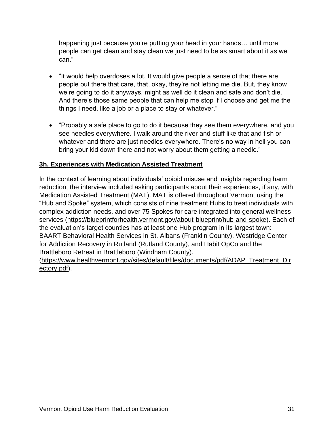happening just because you're putting your head in your hands… until more people can get clean and stay clean we just need to be as smart about it as we can."

- "It would help overdoses a lot. It would give people a sense of that there are people out there that care, that, okay, they're not letting me die. But, they know we're going to do it anyways, might as well do it clean and safe and don't die. And there's those same people that can help me stop if I choose and get me the things I need, like a job or a place to stay or whatever."
- "Probably a safe place to go to do it because they see them everywhere, and you see needles everywhere. I walk around the river and stuff like that and fish or whatever and there are just needles everywhere. There's no way in hell you can bring your kid down there and not worry about them getting a needle."

## **3h. Experiences with Medication Assisted Treatment**

In the context of learning about individuals' opioid misuse and insights regarding harm reduction, the interview included asking participants about their experiences, if any, with Medication Assisted Treatment (MAT). MAT is offered throughout Vermont using the "Hub and Spoke" system, which consists of nine treatment Hubs to treat individuals with complex addiction needs, and over 75 Spokes for care integrated into general wellness services [\(https://blueprintforhealth.vermont.gov/about-blueprint/hub-and-spoke\)](https://blueprintforhealth.vermont.gov/about-blueprint/hub-and-spoke). Each of the evaluation's target counties has at least one Hub program in its largest town: BAART Behavioral Health Services in St. Albans (Franklin County), Westridge Center for Addiction Recovery in Rutland (Rutland County), and Habit OpCo and the Brattleboro Retreat in Brattleboro (Windham County).

[\(https://www.healthvermont.gov/sites/default/files/documents/pdf/ADAP\\_Treatment\\_Dir](https://www.healthvermont.gov/sites/default/files/documents/pdf/ADAP_Treatment_Directory.pdf) [ectory.pdf\)](https://www.healthvermont.gov/sites/default/files/documents/pdf/ADAP_Treatment_Directory.pdf).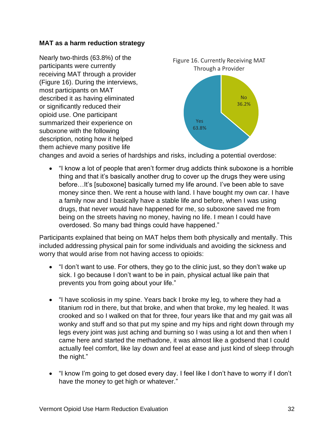#### **MAT as a harm reduction strategy**

Nearly two-thirds (63.8%) of the participants were currently receiving MAT through a provider (Figure 16). During the interviews, most participants on MAT described it as having eliminated or significantly reduced their opioid use. One participant summarized their experience on suboxone with the following description, noting how it helped them achieve many positive life



changes and avoid a series of hardships and risks, including a potential overdose:

• "I know a lot of people that aren't former drug addicts think suboxone is a horrible thing and that it's basically another drug to cover up the drugs they were using before…It's [suboxone] basically turned my life around. I've been able to save money since then. We rent a house with land. I have bought my own car. I have a family now and I basically have a stable life and before, when I was using drugs, that never would have happened for me, so suboxone saved me from being on the streets having no money, having no life. I mean I could have overdosed. So many bad things could have happened."

Participants explained that being on MAT helps them both physically and mentally. This included addressing physical pain for some individuals and avoiding the sickness and worry that would arise from not having access to opioids:

- "I don't want to use. For others, they go to the clinic just, so they don't wake up sick. I go because I don't want to be in pain, physical actual like pain that prevents you from going about your life."
- "I have scoliosis in my spine. Years back I broke my leg, to where they had a titanium rod in there, but that broke, and when that broke, my leg healed. It was crooked and so I walked on that for three, four years like that and my gait was all wonky and stuff and so that put my spine and my hips and right down through my legs every joint was just aching and burning so I was using a lot and then when I came here and started the methadone, it was almost like a godsend that I could actually feel comfort, like lay down and feel at ease and just kind of sleep through the night."
- "I know I'm going to get dosed every day. I feel like I don't have to worry if I don't have the money to get high or whatever."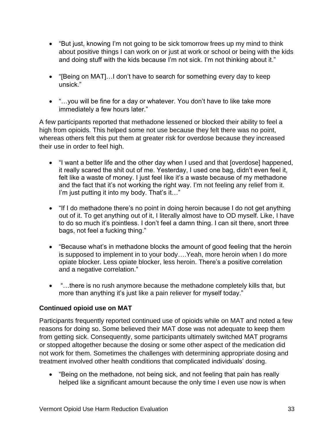- "But just, knowing I'm not going to be sick tomorrow frees up my mind to think about positive things I can work on or just at work or school or being with the kids and doing stuff with the kids because I'm not sick. I'm not thinking about it."
- "[Being on MAT]…I don't have to search for something every day to keep unsick."
- "…you will be fine for a day or whatever. You don't have to like take more immediately a few hours later."

A few participants reported that methadone lessened or blocked their ability to feel a high from opioids. This helped some not use because they felt there was no point, whereas others felt this put them at greater risk for overdose because they increased their use in order to feel high.

- "I want a better life and the other day when I used and that [overdose] happened, it really scared the shit out of me. Yesterday, I used one bag, didn't even feel it, felt like a waste of money. I just feel like it's a waste because of my methadone and the fact that it's not working the right way. I'm not feeling any relief from it. I'm just putting it into my body. That's it..."
- "If I do methadone there's no point in doing heroin because I do not get anything out of it. To get anything out of it, I literally almost have to OD myself. Like, I have to do so much it's pointless. I don't feel a damn thing. I can sit there, snort three bags, not feel a fucking thing."
- "Because what's in methadone blocks the amount of good feeling that the heroin is supposed to implement in to your body….Yeah, more heroin when I do more opiate blocker. Less opiate blocker, less heroin. There's a positive correlation and a negative correlation."
- "…there is no rush anymore because the methadone completely kills that, but more than anything it's just like a pain reliever for myself today."

## **Continued opioid use on MAT**

Participants frequently reported continued use of opioids while on MAT and noted a few reasons for doing so. Some believed their MAT dose was not adequate to keep them from getting sick. Consequently, some participants ultimately switched MAT programs or stopped altogether because the dosing or some other aspect of the medication did not work for them. Sometimes the challenges with determining appropriate dosing and treatment involved other health conditions that complicated individuals' dosing.

• "Being on the methadone, not being sick, and not feeling that pain has really helped like a significant amount because the only time I even use now is when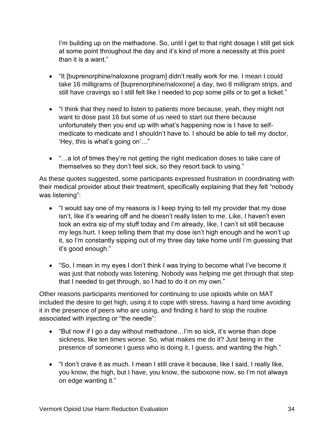I'm building up on the methadone. So, until I get to that right dosage I still get sick at some point throughout the day and it's kind of more a necessity at this point than it is a want."

- "It [buprenorphine/naloxone program] didn't really work for me. I mean I could take 16 milligrams of [buprenorphine/naloxone] a day, two 8 milligram strips, and still have cravings so I still felt like I needed to pop some pills or to get a ticket."
- "I think that they need to listen to patients more because, yeah, they might not want to dose past 16 but some of us need to start out there because unfortunately then you end up with what's happening now is I have to selfmedicate to medicate and I shouldn't have to. I should be able to tell my doctor, 'Hey, this is what's going on'…"
- "...a lot of times they're not getting the right medication doses to take care of themselves so they don't feel sick, so they resort back to using."

As these quotes suggested, some participants expressed frustration in coordinating with their medical provider about their treatment, specifically explaining that they felt "nobody was listening":

- "I would say one of my reasons is I keep trying to tell my provider that my dose isn't, like it's wearing off and he doesn't really listen to me. Like, I haven't even took an extra sip of my stuff today and I'm already, like, I can't sit still because my legs hurt. I keep telling them that my dose isn't high enough and he won't up it, so I'm constantly sipping out of my three day take home until I'm guessing that it's good enough."
- "So, I mean in my eyes I don't think I was trying to become what I've become it was just that nobody was listening. Nobody was helping me get through that step that I needed to get through, so I had to do it on my own."

Other reasons participants mentioned for continuing to use opioids while on MAT included the desire to get high, using it to cope with stress, having a hard time avoiding it in the presence of peers who are using, and finding it hard to stop the routine associated with injecting or "the needle":

- "But now if I go a day without methadone…I'm so sick, it's worse than dope sickness, like ten times worse. So, what makes me do it? Just being in the presence of someone I guess who is doing it, I guess, and wanting the high."
- "I don't crave it as much. I mean I still crave it because, like I said, I really like, you know, the high, but I have, you know, the suboxone now, so I'm not always on edge wanting it."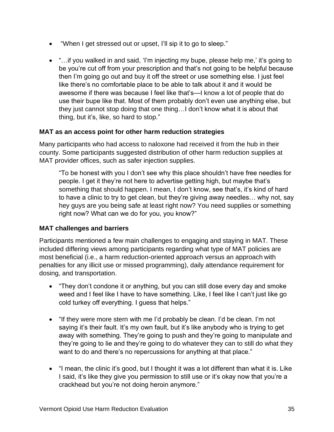- "When I get stressed out or upset, I'll sip it to go to sleep."
- "...if you walked in and said, 'I'm injecting my bupe, please help me,' it's going to be you're cut off from your prescription and that's not going to be helpful because then I'm going go out and buy it off the street or use something else. I just feel like there's no comfortable place to be able to talk about it and it would be awesome if there was because I feel like that's—I know a lot of people that do use their bupe like that. Most of them probably don't even use anything else, but they just cannot stop doing that one thing…I don't know what it is about that thing, but it's, like, so hard to stop."

#### **MAT as an access point for other harm reduction strategies**

Many participants who had access to naloxone had received it from the hub in their county. Some participants suggested distribution of other harm reduction supplies at MAT provider offices, such as safer injection supplies.

"To be honest with you I don't see why this place shouldn't have free needles for people. I get it they're not here to advertise getting high, but maybe that's something that should happen. I mean, I don't know, see that's, it's kind of hard to have a clinic to try to get clean, but they're giving away needles… why not, say hey guys are you being safe at least right now? You need supplies or something right now? What can we do for you, you know?"

#### **MAT challenges and barriers**

Participants mentioned a few main challenges to engaging and staying in MAT. These included differing views among participants regarding what type of MAT policies are most beneficial (i.e., a harm reduction-oriented approach versus an approach with penalties for any illicit use or missed programming), daily attendance requirement for dosing, and transportation.

- "They don't condone it or anything, but you can still dose every day and smoke weed and I feel like I have to have something. Like, I feel like I can't just like go cold turkey off everything. I guess that helps."
- "If they were more stern with me I'd probably be clean. I'd be clean. I'm not saying it's their fault. It's my own fault, but it's like anybody who is trying to get away with something. They're going to push and they're going to manipulate and they're going to lie and they're going to do whatever they can to still do what they want to do and there's no repercussions for anything at that place."
- "I mean, the clinic it's good, but I thought it was a lot different than what it is. Like I said, it's like they give you permission to still use or it's okay now that you're a crackhead but you're not doing heroin anymore."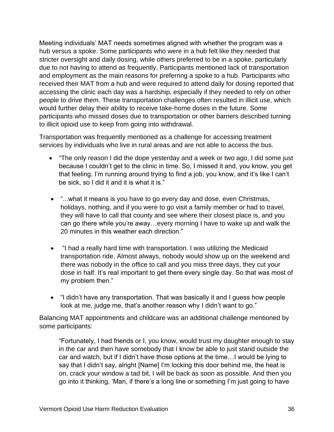Meeting individuals' MAT needs sometimes aligned with whether the program was a hub versus a spoke. Some participants who were in a hub felt like they needed that stricter oversight and daily dosing, while others preferred to be in a spoke, particularly due to not having to attend as frequently. Participants mentioned lack of transportation and employment as the main reasons for preferring a spoke to a hub. Participants who received their MAT from a hub and were required to attend daily for dosing reported that accessing the clinic each day was a hardship, especially if they needed to rely on other people to drive them. These transportation challenges often resulted in illicit use, which would further delay their ability to receive take-home doses in the future. Some participants who missed doses due to transportation or other barriers described turning to illicit opioid use to keep from going into withdrawal.

Transportation was frequently mentioned as a challenge for accessing treatment services by individuals who live in rural areas and are not able to access the bus.

- "The only reason I did the dope yesterday and a week or two ago, I did some just because I couldn't get to the clinic in time. So, I missed it and, you know, you get that feeling. I'm running around trying to find a job, you know, and it's like I can't be sick, so I did it and it is what it is."
- "...what it means is you have to go every day and dose, even Christmas, holidays, nothing, and if you were to go visit a family member or had to travel, they will have to call that county and see where their closest place is, and you can go there while you're away…every morning I have to wake up and walk the 20 minutes in this weather each direction."
- "I had a really hard time with transportation. I was utilizing the Medicaid transportation ride. Almost always, nobody would show up on the weekend and there was nobody in the office to call and you miss three days, they cut your dose in half. It's real important to get there every single day. So that was most of my problem then."
- "I didn't have any transportation. That was basically it and I guess how people look at me, judge me, that's another reason why I didn't want to go."

Balancing MAT appointments and childcare was an additional challenge mentioned by some participants:

"Fortunately, I had friends or I, you know, would trust my daughter enough to stay in the car and then have somebody that I know be able to just stand outside the car and watch, but if I didn't have those options at the time…I would be lying to say that I didn't say, alright [Name] I'm locking this door behind me, the heat is on, crack your window a tad bit, I will be back as soon as possible. And then you go into it thinking, 'Man, if there's a long line or something I'm just going to have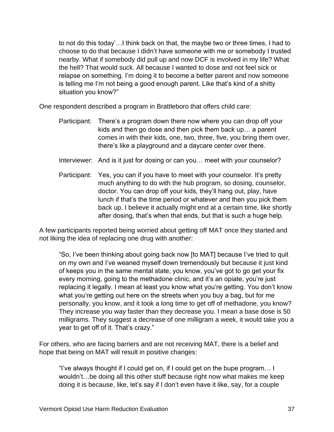to not do this today'…I think back on that, the maybe two or three times, I had to choose to do that because I didn't have someone with me or somebody I trusted nearby. What if somebody did pull up and now DCF is involved in my life? What the hell? That would suck. All because I wanted to dose and not feel sick or relapse on something. I'm doing it to become a better parent and now someone is telling me I'm not being a good enough parent. Like that's kind of a shitty situation you know?"

One respondent described a program in Brattleboro that offers child care:

- Participant: There's a program down there now where you can drop off your kids and then go dose and then pick them back up… a parent comes in with their kids, one, two, three, five, you bring them over, there's like a playground and a daycare center over there.
- Interviewer: And is it just for dosing or can you... meet with your counselor?
- Participant: Yes, you can if you have to meet with your counselor. It's pretty much anything to do with the hub program, so dosing, counselor, doctor. You can drop off your kids, they'll hang out, play, have lunch if that's the time period or whatever and then you pick them back up. I believe it actually might end at a certain time, like shortly after dosing, that's when that ends, but that is such a huge help.

A few participants reported being worried about getting off MAT once they started and not liking the idea of replacing one drug with another:

"So, I've been thinking about going back now [to MAT] because I've tried to quit on my own and I've weaned myself down tremendously but because it just kind of keeps you in the same mental state, you know, you've got to go get your fix every morning, going to the methadone clinic, and it's an opiate, you're just replacing it legally. I mean at least you know what you're getting. You don't know what you're getting out here on the streets when you buy a bag, but for me personally, you know, and it took a long time to get off of methadone, you know? They increase you way faster than they decrease you. I mean a base dose is 50 milligrams. They suggest a decrease of one milligram a week, it would take you a year to get off of it. That's crazy."

For others, who are facing barriers and are not receiving MAT, there is a belief and hope that being on MAT will result in positive changes:

"I've always thought if I could get on, if I could get on the bupe program… I wouldn't…be doing all this other stuff because right now what makes me keep doing it is because, like, let's say if I don't even have it like, say, for a couple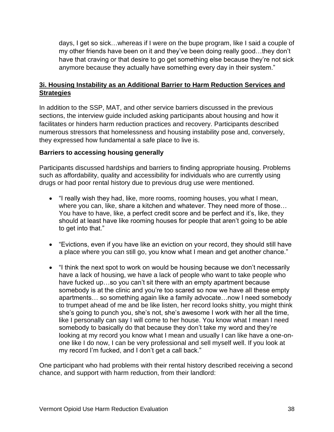days, I get so sick…whereas if I were on the bupe program, like I said a couple of my other friends have been on it and they've been doing really good…they don't have that craving or that desire to go get something else because they're not sick anymore because they actually have something every day in their system."

#### <span id="page-40-0"></span>**3i. Housing Instability as an Additional Barrier to Harm Reduction Services and Strategies**

In addition to the SSP, MAT, and other service barriers discussed in the previous sections, the interview guide included asking participants about housing and how it facilitates or hinders harm reduction practices and recovery. Participants described numerous stressors that homelessness and housing instability pose and, conversely, they expressed how fundamental a safe place to live is.

#### **Barriers to accessing housing generally**

Participants discussed hardships and barriers to finding appropriate housing. Problems such as affordability, quality and accessibility for individuals who are currently using drugs or had poor rental history due to previous drug use were mentioned.

- "I really wish they had, like, more rooms, rooming houses, you what I mean, where you can, like, share a kitchen and whatever. They need more of those… You have to have, like, a perfect credit score and be perfect and it's, like, they should at least have like rooming houses for people that aren't going to be able to get into that."
- "Evictions, even if you have like an eviction on your record, they should still have a place where you can still go, you know what I mean and get another chance."
- "I think the next spot to work on would be housing because we don't necessarily have a lack of housing, we have a lack of people who want to take people who have fucked up...so you can't sit there with an empty apartment because somebody is at the clinic and you're too scared so now we have all these empty apartments… so something again like a family advocate…now I need somebody to trumpet ahead of me and be like listen, her record looks shitty, you might think she's going to punch you, she's not, she's awesome I work with her all the time, like I personally can say I will come to her house. You know what I mean I need somebody to basically do that because they don't take my word and they're looking at my record you know what I mean and usually I can like have a one-onone like I do now, I can be very professional and sell myself well. If you look at my record I'm fucked, and I don't get a call back."

One participant who had problems with their rental history described receiving a second chance, and support with harm reduction, from their landlord: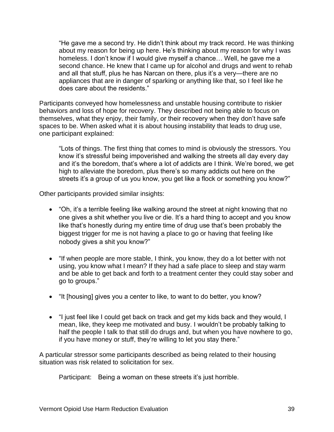"He gave me a second try. He didn't think about my track record. He was thinking about my reason for being up here. He's thinking about my reason for why I was homeless. I don't know if I would give myself a chance… Well, he gave me a second chance. He knew that I came up for alcohol and drugs and went to rehab and all that stuff, plus he has Narcan on there, plus it's a very—there are no appliances that are in danger of sparking or anything like that, so I feel like he does care about the residents."

Participants conveyed how homelessness and unstable housing contribute to riskier behaviors and loss of hope for recovery. They described not being able to focus on themselves, what they enjoy, their family, or their recovery when they don't have safe spaces to be. When asked what it is about housing instability that leads to drug use, one participant explained:

"Lots of things. The first thing that comes to mind is obviously the stressors. You know it's stressful being impoverished and walking the streets all day every day and it's the boredom, that's where a lot of addicts are I think. We're bored, we get high to alleviate the boredom, plus there's so many addicts out here on the streets it's a group of us you know, you get like a flock or something you know?"

Other participants provided similar insights:

- "Oh, it's a terrible feeling like walking around the street at night knowing that no one gives a shit whether you live or die. It's a hard thing to accept and you know like that's honestly during my entire time of drug use that's been probably the biggest trigger for me is not having a place to go or having that feeling like nobody gives a shit you know?"
- "If when people are more stable, I think, you know, they do a lot better with not using, you know what I mean? If they had a safe place to sleep and stay warm and be able to get back and forth to a treatment center they could stay sober and go to groups."
- "It [housing] gives you a center to like, to want to do better, you know?
- "I just feel like I could get back on track and get my kids back and they would, I mean, like, they keep me motivated and busy. I wouldn't be probably talking to half the people I talk to that still do drugs and, but when you have nowhere to go, if you have money or stuff, they're willing to let you stay there."

A particular stressor some participants described as being related to their housing situation was risk related to solicitation for sex.

Participant: Being a woman on these streets it's just horrible.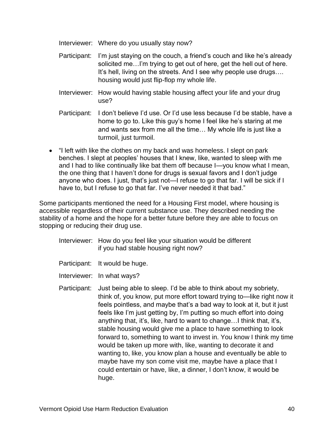Interviewer: Where do you usually stay now?

- Participant: I'm just staying on the couch, a friend's couch and like he's already solicited me…I'm trying to get out of here, get the hell out of here. It's hell, living on the streets. And I see why people use drugs…. housing would just flip-flop my whole life.
- Interviewer: How would having stable housing affect your life and your drug use?
- Participant: I don't believe I'd use. Or I'd use less because I'd be stable, have a home to go to. Like this guy's home I feel like he's staring at me and wants sex from me all the time… My whole life is just like a turmoil, just turmoil.
- "I left with like the clothes on my back and was homeless. I slept on park benches. I slept at peoples' houses that I knew, like, wanted to sleep with me and I had to like continually like bat them off because I—you know what I mean, the one thing that I haven't done for drugs is sexual favors and I don't judge anyone who does. I just, that's just not—I refuse to go that far. I will be sick if I have to, but I refuse to go that far. I've never needed it that bad."

Some participants mentioned the need for a Housing First model, where housing is accessible regardless of their current substance use. They described needing the stability of a home and the hope for a better future before they are able to focus on stopping or reducing their drug use.

- Interviewer: How do you feel like your situation would be different if you had stable housing right now?
- Participant: It would be huge.
- Interviewer: In what ways?
- Participant: Just being able to sleep. I'd be able to think about my sobriety, think of, you know, put more effort toward trying to—like right now it feels pointless, and maybe that's a bad way to look at it, but it just feels like I'm just getting by, I'm putting so much effort into doing anything that, it's, like, hard to want to change…I think that, it's, stable housing would give me a place to have something to look forward to, something to want to invest in. You know I think my time would be taken up more with, like, wanting to decorate it and wanting to, like, you know plan a house and eventually be able to maybe have my son come visit me, maybe have a place that I could entertain or have, like, a dinner, I don't know, it would be huge.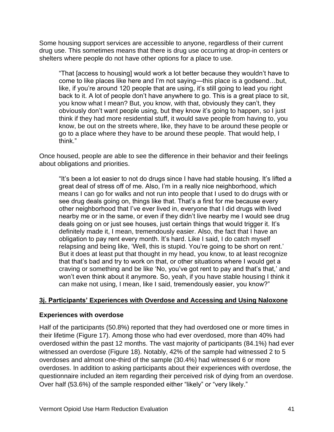Some housing support services are accessible to anyone, regardless of their current drug use. This sometimes means that there is drug use occurring at drop-in centers or shelters where people do not have other options for a place to use.

"That [access to housing] would work a lot better because they wouldn't have to come to like places like here and I'm not saying—this place is a godsend…but, like, if you're around 120 people that are using, it's still going to lead you right back to it. A lot of people don't have anywhere to go. This is a great place to sit, you know what I mean? But, you know, with that, obviously they can't, they obviously don't want people using, but they know it's going to happen, so I just think if they had more residential stuff, it would save people from having to, you know, be out on the streets where, like, they have to be around these people or go to a place where they have to be around these people. That would help, I think."

Once housed, people are able to see the difference in their behavior and their feelings about obligations and priorities.

"It's been a lot easier to not do drugs since I have had stable housing. It's lifted a great deal of stress off of me. Also, I'm in a really nice neighborhood, which means I can go for walks and not run into people that I used to do drugs with or see drug deals going on, things like that. That's a first for me because every other neighborhood that I've ever lived in, everyone that I did drugs with lived nearby me or in the same, or even if they didn't live nearby me I would see drug deals going on or just see houses, just certain things that would trigger it. It's definitely made it, I mean, tremendously easier. Also, the fact that I have an obligation to pay rent every month. It's hard. Like I said, I do catch myself relapsing and being like, 'Well, this is stupid. You're going to be short on rent.' But it does at least put that thought in my head, you know, to at least recognize that that's bad and try to work on that, or other situations where I would get a craving or something and be like 'No, you've got rent to pay and that's that,' and won't even think about it anymore. So, yeah, if you have stable housing I think it can make not using, I mean, like I said, tremendously easier, you know?"

#### <span id="page-43-0"></span>**3j. Participants' Experiences with Overdose and Accessing and Using Naloxone**

#### **Experiences with overdose**

Half of the participants (50.8%) reported that they had overdosed one or more times in their lifetime (Figure 17). Among those who had ever overdosed, more than 40% had overdosed within the past 12 months. The vast majority of participants (84.1%) had ever witnessed an overdose (Figure 18). Notably, 42% of the sample had witnessed 2 to 5 overdoses and almost one-third of the sample (30.4%) had witnessed 6 or more overdoses. In addition to asking participants about their experiences with overdose, the questionnaire included an item regarding their perceived risk of dying from an overdose. Over half (53.6%) of the sample responded either "likely" or "very likely."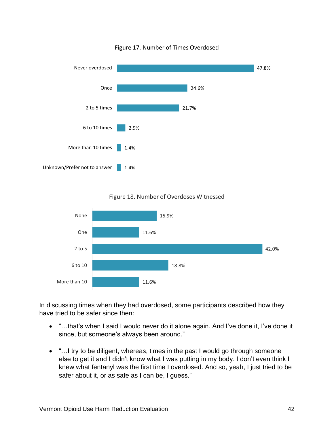

Figure 17. Number of Times Overdosed





In discussing times when they had overdosed, some participants described how they have tried to be safer since then:

- "…that's when I said I would never do it alone again. And I've done it, I've done it since, but someone's always been around."
- "... I try to be diligent, whereas, times in the past I would go through someone else to get it and I didn't know what I was putting in my body. I don't even think I knew what fentanyl was the first time I overdosed. And so, yeah, I just tried to be safer about it, or as safe as I can be, I guess."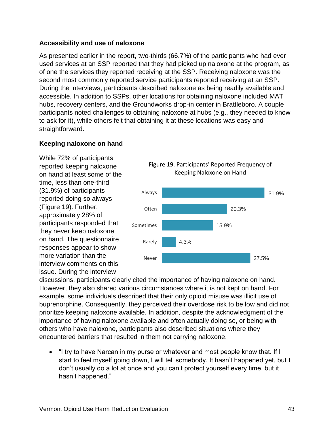#### **Accessibility and use of naloxone**

As presented earlier in the report, two-thirds (66.7%) of the participants who had ever used services at an SSP reported that they had picked up naloxone at the program, as of one the services they reported receiving at the SSP. Receiving naloxone was the second most commonly reported service participants reported receiving at an SSP. During the interviews, participants described naloxone as being readily available and accessible. In addition to SSPs, other locations for obtaining naloxone included MAT hubs, recovery centers, and the Groundworks drop-in center in Brattleboro. A couple participants noted challenges to obtaining naloxone at hubs (e.g., they needed to know to ask for it), while others felt that obtaining it at these locations was easy and straightforward.

#### **Keeping naloxone on hand**

While 72% of participants reported keeping naloxone on hand at least some of the time, less than one-third (31.9%) of participants reported doing so always (Figure 19). Further, approximately 28% of participants responded that they never keep naloxone on hand. The questionnaire responses appear to show more variation than the interview comments on this issue. During the interview



discussions, participants clearly cited the importance of having naloxone on hand. However, they also shared various circumstances where it is not kept on hand. For example, some individuals described that their only opioid misuse was illicit use of buprenorphine. Consequently, they perceived their overdose risk to be low and did not prioritize keeping naloxone available. In addition, despite the acknowledgment of the importance of having naloxone available and often actually doing so, or being with others who have naloxone, participants also described situations where they encountered barriers that resulted in them not carrying naloxone.

• "I try to have Narcan in my purse or whatever and most people know that. If I start to feel myself going down, I will tell somebody. It hasn't happened yet, but I don't usually do a lot at once and you can't protect yourself every time, but it hasn't happened."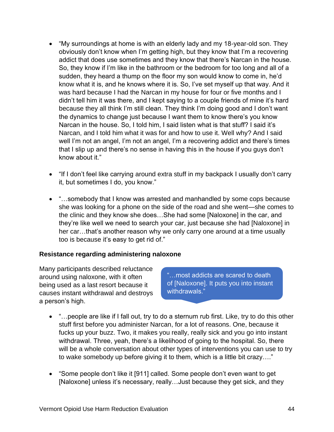- "My surroundings at home is with an elderly lady and my 18-year-old son. They obviously don't know when I'm getting high, but they know that I'm a recovering addict that does use sometimes and they know that there's Narcan in the house. So, they know if I'm like in the bathroom or the bedroom for too long and all of a sudden, they heard a thump on the floor my son would know to come in, he'd know what it is, and he knows where it is. So, I've set myself up that way. And it was hard because I had the Narcan in my house for four or five months and I didn't tell him it was there, and I kept saying to a couple friends of mine it's hard because they all think I'm still clean. They think I'm doing good and I don't want the dynamics to change just because I want them to know there's you know Narcan in the house. So, I told him, I said listen what is that stuff? I said it's Narcan, and I told him what it was for and how to use it. Well why? And I said well I'm not an angel, I'm not an angel, I'm a recovering addict and there's times that I slip up and there's no sense in having this in the house if you guys don't know about it."
- "If I don't feel like carrying around extra stuff in my backpack I usually don't carry it, but sometimes I do, you know."
- "...somebody that I know was arrested and manhandled by some cops because she was looking for a phone on the side of the road and she went—she comes to the clinic and they know she does…She had some [Naloxone] in the car, and they're like well we need to search your car, just because she had [Naloxone] in her car…that's another reason why we only carry one around at a time usually too is because it's easy to get rid of."

#### **Resistance regarding administering naloxone**

Many participants described reluctance around using naloxone, with it often being used as a last resort because it causes instant withdrawal and destroys a person's high.

"…most addicts are scared to death of [Naloxone]. It puts you into instant withdrawals."

- "…people are like if I fall out, try to do a sternum rub first. Like, try to do this other stuff first before you administer Narcan, for a lot of reasons. One, because it fucks up your buzz. Two, it makes you really, really sick and you go into instant withdrawal. Three, yeah, there's a likelihood of going to the hospital. So, there will be a whole conversation about other types of interventions you can use to try to wake somebody up before giving it to them, which is a little bit crazy…."
- "Some people don't like it [911] called. Some people don't even want to get [Naloxone] unless it's necessary, really...Just because they get sick, and they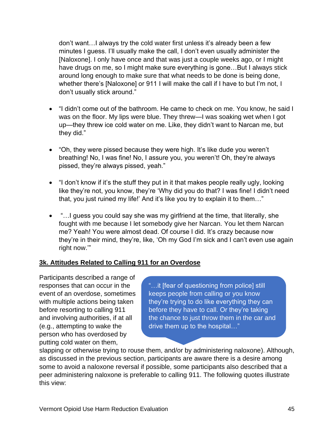don't want…I always try the cold water first unless it's already been a few minutes I guess. I'll usually make the call, I don't even usually administer the [Naloxone]. I only have once and that was just a couple weeks ago, or I might have drugs on me, so I might make sure everything is gone…But I always stick around long enough to make sure that what needs to be done is being done, whether there's [Naloxone] or 911 I will make the call if I have to but I'm not, I don't usually stick around."

- "I didn't come out of the bathroom. He came to check on me. You know, he said I was on the floor. My lips were blue. They threw—I was soaking wet when I got up—they threw ice cold water on me. Like, they didn't want to Narcan me, but they did."
- "Oh, they were pissed because they were high. It's like dude you weren't breathing! No, I was fine! No, I assure you, you weren't! Oh, they're always pissed, they're always pissed, yeah."
- "I don't know if it's the stuff they put in it that makes people really ugly, looking like they're not, you know, they're 'Why did you do that? I was fine! I didn't need that, you just ruined my life!' And it's like you try to explain it to them…"
- "... I guess you could say she was my girlfriend at the time, that literally, she fought with me because I let somebody give her Narcan. You let them Narcan me? Yeah! You were almost dead. Of course I did. It's crazy because now they're in their mind, they're, like, 'Oh my God I'm sick and I can't even use again right now.'"

#### <span id="page-47-0"></span>**3k. Attitudes Related to Calling 911 for an Overdose**

Participants described a range of responses that can occur in the event of an overdose, sometimes with multiple actions being taken before resorting to calling 911 and involving authorities, if at all (e.g., attempting to wake the person who has overdosed by putting cold water on them,

"…it [fear of questioning from police] still keeps people from calling or you know they're trying to do like everything they can before they have to call. Or they're taking the chance to just throw them in the car and drive them up to the hospital…"

slapping or otherwise trying to rouse them, and/or by administering naloxone). Although, as discussed in the previous section, participants are aware there is a desire among some to avoid a naloxone reversal if possible, some participants also described that a peer administering naloxone is preferable to calling 911. The following quotes illustrate this view: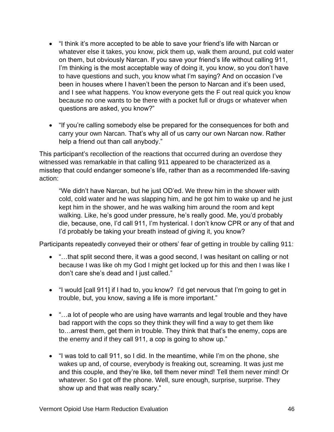- "I think it's more accepted to be able to save your friend's life with Narcan or whatever else it takes, you know, pick them up, walk them around, put cold water on them, but obviously Narcan. If you save your friend's life without calling 911, I'm thinking is the most acceptable way of doing it, you know, so you don't have to have questions and such, you know what I'm saying? And on occasion I've been in houses where I haven't been the person to Narcan and it's been used, and I see what happens. You know everyone gets the F out real quick you know because no one wants to be there with a pocket full or drugs or whatever when questions are asked, you know?"
- "If you're calling somebody else be prepared for the consequences for both and carry your own Narcan. That's why all of us carry our own Narcan now. Rather help a friend out than call anybody."

This participant's recollection of the reactions that occurred during an overdose they witnessed was remarkable in that calling 911 appeared to be characterized as a misstep that could endanger someone's life, rather than as a recommended life-saving action:

"We didn't have Narcan, but he just OD'ed. We threw him in the shower with cold, cold water and he was slapping him, and he got him to wake up and he just kept him in the shower, and he was walking him around the room and kept walking. Like, he's good under pressure, he's really good. Me, you'd probably die, because, one, I'd call 911, I'm hysterical. I don't know CPR or any of that and I'd probably be taking your breath instead of giving it, you know?

Participants repeatedly conveyed their or others' fear of getting in trouble by calling 911:

- "…that split second there, it was a good second, I was hesitant on calling or not because I was like oh my God I might get locked up for this and then I was like I don't care she's dead and I just called."
- "I would [call 911] if I had to, you know? I'd get nervous that I'm going to get in trouble, but, you know, saving a life is more important."
- "...a lot of people who are using have warrants and legal trouble and they have bad rapport with the cops so they think they will find a way to get them like to…arrest them, get them in trouble. They think that that's the enemy, cops are the enemy and if they call 911, a cop is going to show up."
- "I was told to call 911, so I did. In the meantime, while I'm on the phone, she wakes up and, of course, everybody is freaking out, screaming. It was just me and this couple, and they're like, tell them never mind! Tell them never mind! Or whatever. So I got off the phone. Well, sure enough, surprise, surprise. They show up and that was really scary."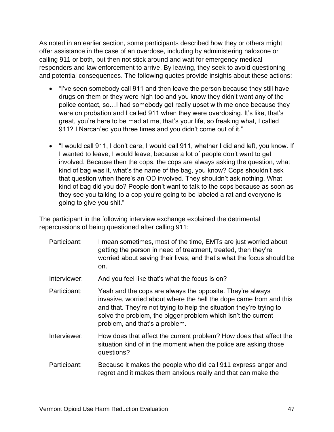As noted in an earlier section, some participants described how they or others might offer assistance in the case of an overdose, including by administering naloxone or calling 911 or both, but then not stick around and wait for emergency medical responders and law enforcement to arrive. By leaving, they seek to avoid questioning and potential consequences. The following quotes provide insights about these actions:

- "I've seen somebody call 911 and then leave the person because they still have drugs on them or they were high too and you know they didn't want any of the police contact, so…I had somebody get really upset with me once because they were on probation and I called 911 when they were overdosing. It's like, that's great, you're here to be mad at me, that's your life, so freaking what, I called 911? I Narcan'ed you three times and you didn't come out of it."
- "I would call 911, I don't care, I would call 911, whether I did and left, you know. If I wanted to leave, I would leave, because a lot of people don't want to get involved. Because then the cops, the cops are always asking the question, what kind of bag was it, what's the name of the bag, you know? Cops shouldn't ask that question when there's an OD involved. They shouldn't ask nothing. What kind of bag did you do? People don't want to talk to the cops because as soon as they see you talking to a cop you're going to be labeled a rat and everyone is going to give you shit."

The participant in the following interview exchange explained the detrimental repercussions of being questioned after calling 911:

| Participant: | I mean sometimes, most of the time, EMTs are just worried about<br>getting the person in need of treatment, treated, then they're<br>worried about saving their lives, and that's what the focus should be<br>on.                                                                                          |
|--------------|------------------------------------------------------------------------------------------------------------------------------------------------------------------------------------------------------------------------------------------------------------------------------------------------------------|
| Interviewer: | And you feel like that's what the focus is on?                                                                                                                                                                                                                                                             |
| Participant: | Yeah and the cops are always the opposite. They're always<br>invasive, worried about where the hell the dope came from and this<br>and that. They're not trying to help the situation they're trying to<br>solve the problem, the bigger problem which isn't the current<br>problem, and that's a problem. |
| Interviewer: | How does that affect the current problem? How does that affect the<br>situation kind of in the moment when the police are asking those<br>questions?                                                                                                                                                       |
| Participant: | Because it makes the people who did call 911 express anger and<br>regret and it makes them anxious really and that can make the                                                                                                                                                                            |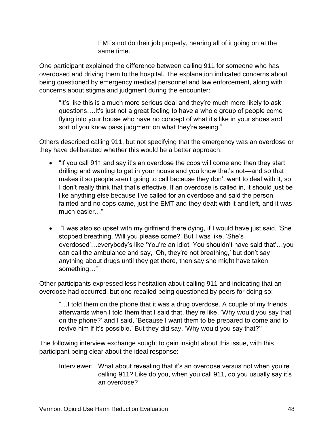EMTs not do their job properly, hearing all of it going on at the same time.

One participant explained the difference between calling 911 for someone who has overdosed and driving them to the hospital. The explanation indicated concerns about being questioned by emergency medical personnel and law enforcement, along with concerns about stigma and judgment during the encounter:

"It's like this is a much more serious deal and they're much more likely to ask questions….It's just not a great feeling to have a whole group of people come flying into your house who have no concept of what it's like in your shoes and sort of you know pass judgment on what they're seeing."

Others described calling 911, but not specifying that the emergency was an overdose or they have deliberated whether this would be a better approach:

- "If you call 911 and say it's an overdose the cops will come and then they start drilling and wanting to get in your house and you know that's not—and so that makes it so people aren't going to call because they don't want to deal with it, so I don't really think that that's effective. If an overdose is called in, it should just be like anything else because I've called for an overdose and said the person fainted and no cops came, just the EMT and they dealt with it and left, and it was much easier…"
- "I was also so upset with my girlfriend there dying, if I would have just said, 'She stopped breathing. Will you please come?' But I was like, 'She's overdosed'…everybody's like 'You're an idiot. You shouldn't have said that'…you can call the ambulance and say, 'Oh, they're not breathing,' but don't say anything about drugs until they get there, then say she might have taken something…"

Other participants expressed less hesitation about calling 911 and indicating that an overdose had occurred, but one recalled being questioned by peers for doing so:

"…I told them on the phone that it was a drug overdose. A couple of my friends afterwards when I told them that I said that, they're like, 'Why would you say that on the phone?' and I said, 'Because I want them to be prepared to come and to revive him if it's possible.' But they did say, 'Why would you say that?'"

The following interview exchange sought to gain insight about this issue, with this participant being clear about the ideal response:

Interviewer: What about revealing that it's an overdose versus not when you're calling 911? Like do you, when you call 911, do you usually say it's an overdose?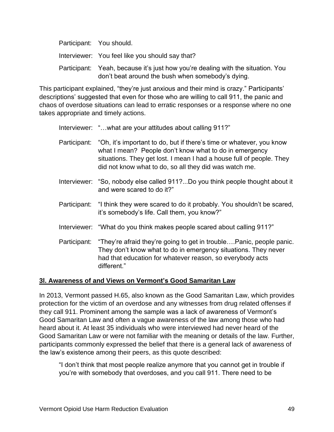| Participant: You should.                                                                                                             |
|--------------------------------------------------------------------------------------------------------------------------------------|
| Interviewer: You feel like you should say that?                                                                                      |
| Participant: Yeah, because it's just how you're dealing with the situation. You<br>don't beat around the bush when somebody's dying. |

This participant explained, "they're just anxious and their mind is crazy." Participants' descriptions' suggested that even for those who are willing to call 911, the panic and chaos of overdose situations can lead to erratic responses or a response where no one takes appropriate and timely actions.

Interviewer: "...what are your attitudes about calling 911?"

- Participant: "Oh, it's important to do, but if there's time or whatever, you know what I mean? People don't know what to do in emergency situations. They get lost. I mean I had a house full of people. They did not know what to do, so all they did was watch me.
- Interviewer: "So, nobody else called 911?...Do you think people thought about it and were scared to do it?"
- Participant: "I think they were scared to do it probably. You shouldn't be scared, it's somebody's life. Call them, you know?"
- Interviewer: "What do you think makes people scared about calling 911?"
- Participant: "They're afraid they're going to get in trouble….Panic, people panic. They don't know what to do in emergency situations. They never had that education for whatever reason, so everybody acts different."

#### <span id="page-51-0"></span>**3l. Awareness of and Views on Vermont's Good Samaritan Law**

In 2013, Vermont passed H.65, also known as the Good Samaritan Law, which provides protection for the victim of an overdose and any witnesses from drug related offenses if they call 911. Prominent among the sample was a lack of awareness of Vermont's Good Samaritan Law and often a vague awareness of the law among those who had heard about it. At least 35 individuals who were interviewed had never heard of the Good Samaritan Law or were not familiar with the meaning or details of the law. Further, participants commonly expressed the belief that there is a general lack of awareness of the law's existence among their peers, as this quote described:

"I don't think that most people realize anymore that you cannot get in trouble if you're with somebody that overdoses, and you call 911. There need to be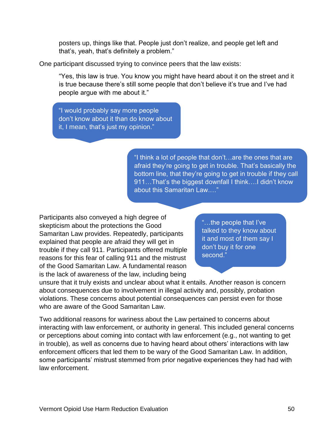posters up, things like that. People just don't realize, and people get left and that's, yeah, that's definitely a problem."

One participant discussed trying to convince peers that the law exists:

"Yes, this law is true. You know you might have heard about it on the street and it is true because there's still some people that don't believe it's true and I've had people argue with me about it."

"I would probably say more people don't know about it than do know about it, I mean, that's just my opinion."

> "I think a lot of people that don't…are the ones that are afraid they're going to get in trouble. That's basically the bottom line, that they're going to get in trouble if they call 911…That's the biggest downfall I think….I didn't know about this Samaritan Law.…"

Participants also conveyed a high degree of skepticism about the protections the Good Samaritan Law provides. Repeatedly, participants explained that people are afraid they will get in trouble if they call 911. Participants offered multiple reasons for this fear of calling 911 and the mistrust of the Good Samaritan Law. A fundamental reason is the lack of awareness of the law, including being

"…the people that I've talked to they know about it and most of them say I don't buy it for one second."

unsure that it truly exists and unclear about what it entails. Another reason is concern about consequences due to involvement in illegal activity and, possibly, probation violations. These concerns about potential consequences can persist even for those who are aware of the Good Samaritan Law.

Two additional reasons for wariness about the Law pertained to concerns about interacting with law enforcement, or authority in general. This included general concerns or perceptions about coming into contact with law enforcement (e.g., not wanting to get in trouble), as well as concerns due to having heard about others' interactions with law enforcement officers that led them to be wary of the Good Samaritan Law. In addition, some participants' mistrust stemmed from prior negative experiences they had had with law enforcement.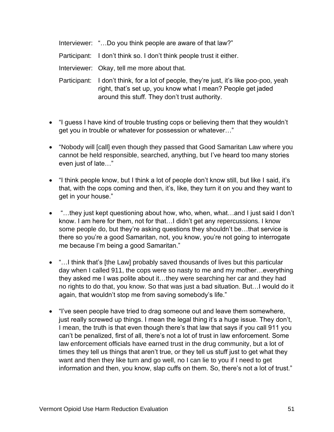Interviewer: "…Do you think people are aware of that law?"

Participant: I don't think so. I don't think people trust it either.

Interviewer: Okay, tell me more about that.

Participant: I don't think, for a lot of people, they're just, it's like poo-poo, yeah right, that's set up, you know what I mean? People get jaded around this stuff. They don't trust authority.

- "I guess I have kind of trouble trusting cops or believing them that they wouldn't get you in trouble or whatever for possession or whatever…"
- "Nobody will [call] even though they passed that Good Samaritan Law where you cannot be held responsible, searched, anything, but I've heard too many stories even just of late…"
- "I think people know, but I think a lot of people don't know still, but like I said, it's that, with the cops coming and then, it's, like, they turn it on you and they want to get in your house."
- "…they just kept questioning about how, who, when, what…and I just said I don't know. I am here for them, not for that…I didn't get any repercussions. I know some people do, but they're asking questions they shouldn't be…that service is there so you're a good Samaritan, not, you know, you're not going to interrogate me because I'm being a good Samaritan."
- "... I think that's [the Law] probably saved thousands of lives but this particular day when I called 911, the cops were so nasty to me and my mother…everything they asked me I was polite about it…they were searching her car and they had no rights to do that, you know. So that was just a bad situation. But…I would do it again, that wouldn't stop me from saving somebody's life."
- "I've seen people have tried to drag someone out and leave them somewhere, just really screwed up things. I mean the legal thing it's a huge issue. They don't, I mean, the truth is that even though there's that law that says if you call 911 you can't be penalized, first of all, there's not a lot of trust in law enforcement. Some law enforcement officials have earned trust in the drug community, but a lot of times they tell us things that aren't true, or they tell us stuff just to get what they want and then they like turn and go well, no I can lie to you if I need to get information and then, you know, slap cuffs on them. So, there's not a lot of trust."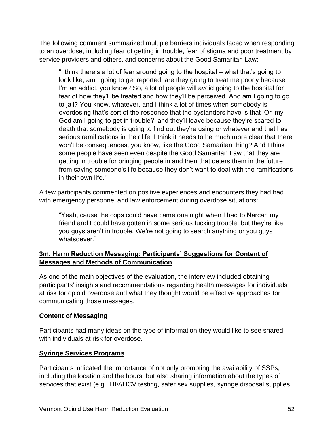The following comment summarized multiple barriers individuals faced when responding to an overdose, including fear of getting in trouble, fear of stigma and poor treatment by service providers and others, and concerns about the Good Samaritan Law:

"I think there's a lot of fear around going to the hospital – what that's going to look like, am I going to get reported, are they going to treat me poorly because I'm an addict, you know? So, a lot of people will avoid going to the hospital for fear of how they'll be treated and how they'll be perceived. And am I going to go to jail? You know, whatever, and I think a lot of times when somebody is overdosing that's sort of the response that the bystanders have is that 'Oh my God am I going to get in trouble?' and they'll leave because they're scared to death that somebody is going to find out they're using or whatever and that has serious ramifications in their life. I think it needs to be much more clear that there won't be consequences, you know, like the Good Samaritan thing? And I think some people have seen even despite the Good Samaritan Law that they are getting in trouble for bringing people in and then that deters them in the future from saving someone's life because they don't want to deal with the ramifications in their own life."

A few participants commented on positive experiences and encounters they had had with emergency personnel and law enforcement during overdose situations:

"Yeah, cause the cops could have came one night when I had to Narcan my friend and I could have gotten in some serious fucking trouble, but they're like you guys aren't in trouble. We're not going to search anything or you guys whatsoever."

## <span id="page-54-0"></span>**3m. Harm Reduction Messaging: Participants' Suggestions for Content of Messages and Methods of Communication**

As one of the main objectives of the evaluation, the interview included obtaining participants' insights and recommendations regarding health messages for individuals at risk for opioid overdose and what they thought would be effective approaches for communicating those messages.

#### **Content of Messaging**

Participants had many ideas on the type of information they would like to see shared with individuals at risk for overdose.

#### **Syringe Services Programs**

Participants indicated the importance of not only promoting the availability of SSPs, including the location and the hours, but also sharing information about the types of services that exist (e.g., HIV/HCV testing, safer sex supplies, syringe disposal supplies,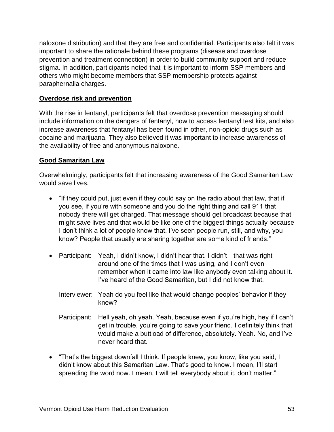naloxone distribution) and that they are free and confidential. Participants also felt it was important to share the rationale behind these programs (disease and overdose prevention and treatment connection) in order to build community support and reduce stigma. In addition, participants noted that it is important to inform SSP members and others who might become members that SSP membership protects against paraphernalia charges.

#### **Overdose risk and prevention**

With the rise in fentanyl, participants felt that overdose prevention messaging should include information on the dangers of fentanyl, how to access fentanyl test kits, and also increase awareness that fentanyl has been found in other, non-opioid drugs such as cocaine and marijuana. They also believed it was important to increase awareness of the availability of free and anonymous naloxone.

#### **Good Samaritan Law**

Overwhelmingly, participants felt that increasing awareness of the Good Samaritan Law would save lives.

- "If they could put, just even if they could say on the radio about that law, that if you see, if you're with someone and you do the right thing and call 911 that nobody there will get charged. That message should get broadcast because that might save lives and that would be like one of the biggest things actually because I don't think a lot of people know that. I've seen people run, still, and why, you know? People that usually are sharing together are some kind of friends."
- Participant: Yeah, I didn't know, I didn't hear that. I didn't—that was right around one of the times that I was using, and I don't even remember when it came into law like anybody even talking about it. I've heard of the Good Samaritan, but I did not know that.
	- Interviewer: Yeah do you feel like that would change peoples' behavior if they knew?
	- Participant: Hell yeah, oh yeah. Yeah, because even if you're high, hey if I can't get in trouble, you're going to save your friend. I definitely think that would make a buttload of difference, absolutely. Yeah. No, and I've never heard that.
- "That's the biggest downfall I think. If people knew, you know, like you said, I didn't know about this Samaritan Law. That's good to know. I mean, I'll start spreading the word now. I mean, I will tell everybody about it, don't matter."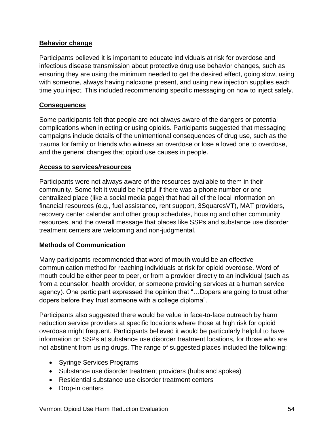#### **Behavior change**

Participants believed it is important to educate individuals at risk for overdose and infectious disease transmission about protective drug use behavior changes, such as ensuring they are using the minimum needed to get the desired effect, going slow, using with someone, always having naloxone present, and using new injection supplies each time you inject. This included recommending specific messaging on how to inject safely.

#### **Consequences**

Some participants felt that people are not always aware of the dangers or potential complications when injecting or using opioids. Participants suggested that messaging campaigns include details of the unintentional consequences of drug use, such as the trauma for family or friends who witness an overdose or lose a loved one to overdose, and the general changes that opioid use causes in people.

#### **Access to services/resources**

Participants were not always aware of the resources available to them in their community. Some felt it would be helpful if there was a phone number or one centralized place (like a social media page) that had all of the local information on financial resources (e.g., fuel assistance, rent support, 3SquaresVT), MAT providers, recovery center calendar and other group schedules, housing and other community resources, and the overall message that places like SSPs and substance use disorder treatment centers are welcoming and non-judgmental.

#### **Methods of Communication**

Many participants recommended that word of mouth would be an effective communication method for reaching individuals at risk for opioid overdose. Word of mouth could be either peer to peer, or from a provider directly to an individual (such as from a counselor, health provider, or someone providing services at a human service agency). One participant expressed the opinion that "…Dopers are going to trust other dopers before they trust someone with a college diploma".

Participants also suggested there would be value in face-to-face outreach by harm reduction service providers at specific locations where those at high risk for opioid overdose might frequent. Participants believed it would be particularly helpful to have information on SSPs at substance use disorder treatment locations, for those who are not abstinent from using drugs. The range of suggested places included the following:

- Syringe Services Programs
- Substance use disorder treatment providers (hubs and spokes)
- Residential substance use disorder treatment centers
- Drop-in centers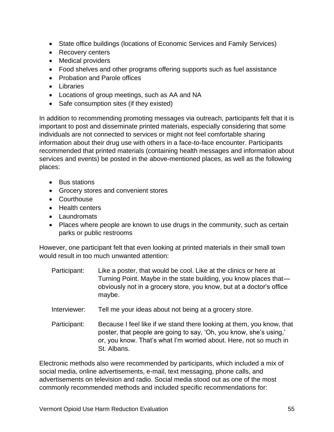- State office buildings (locations of Economic Services and Family Services)
- Recovery centers
- Medical providers
- Food shelves and other programs offering supports such as fuel assistance
- Probation and Parole offices
- Libraries
- Locations of group meetings, such as AA and NA
- Safe consumption sites (if they existed)

In addition to recommending promoting messages via outreach, participants felt that it is important to post and disseminate printed materials, especially considering that some individuals are not connected to services or might not feel comfortable sharing information about their drug use with others in a face-to-face encounter. Participants recommended that printed materials (containing health messages and information about services and events) be posted in the above-mentioned places, as well as the following places:

- Bus stations
- Grocery stores and convenient stores
- Courthouse
- Health centers
- Laundromats
- Places where people are known to use drugs in the community, such as certain parks or public restrooms

However, one participant felt that even looking at printed materials in their small town would result in too much unwanted attention:

- Participant: Like a poster, that would be cool. Like at the clinics or here at Turning Point. Maybe in the state building, you know places that obviously not in a grocery store, you know, but at a doctor's office maybe.
- Interviewer: Tell me your ideas about not being at a grocery store.
- Participant: Because I feel like if we stand there looking at them, you know, that poster, that people are going to say, 'Oh, you know, she's using,' or, you know. That's what I'm worried about. Here, not so much in St. Albans.

Electronic methods also were recommended by participants, which included a mix of social media, online advertisements, e-mail, text messaging, phone calls, and advertisements on television and radio. Social media stood out as one of the most commonly recommended methods and included specific recommendations for: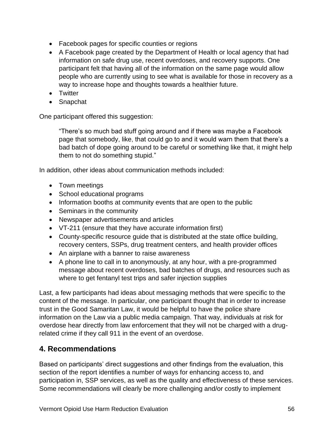- Facebook pages for specific counties or regions
- A Facebook page created by the Department of Health or local agency that had information on safe drug use, recent overdoses, and recovery supports. One participant felt that having all of the information on the same page would allow people who are currently using to see what is available for those in recovery as a way to increase hope and thoughts towards a healthier future.
- Twitter
- Snapchat

One participant offered this suggestion:

"There's so much bad stuff going around and if there was maybe a Facebook page that somebody, like, that could go to and it would warn them that there's a bad batch of dope going around to be careful or something like that, it might help them to not do something stupid."

In addition, other ideas about communication methods included:

- Town meetings
- School educational programs
- Information booths at community events that are open to the public
- Seminars in the community
- Newspaper advertisements and articles
- VT-211 (ensure that they have accurate information first)
- County-specific resource guide that is distributed at the state office building, recovery centers, SSPs, drug treatment centers, and health provider offices
- An airplane with a banner to raise awareness
- A phone line to call in to anonymously, at any hour, with a pre-programmed message about recent overdoses, bad batches of drugs, and resources such as where to get fentanyl test trips and safer injection supplies

Last, a few participants had ideas about messaging methods that were specific to the content of the message. In particular, one participant thought that in order to increase trust in the Good Samaritan Law, it would be helpful to have the police share information on the Law via a public media campaign. That way, individuals at risk for overdose hear directly from law enforcement that they will not be charged with a drugrelated crime if they call 911 in the event of an overdose.

# <span id="page-58-0"></span>**4. Recommendations**

Based on participants' direct suggestions and other findings from the evaluation, this section of the report identifies a number of ways for enhancing access to, and participation in, SSP services, as well as the quality and effectiveness of these services. Some recommendations will clearly be more challenging and/or costly to implement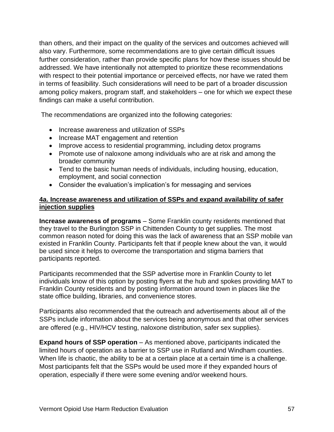than others, and their impact on the quality of the services and outcomes achieved will also vary. Furthermore, some recommendations are to give certain difficult issues further consideration, rather than provide specific plans for how these issues should be addressed. We have intentionally not attempted to prioritize these recommendations with respect to their potential importance or perceived effects, nor have we rated them in terms of feasibility. Such considerations will need to be part of a broader discussion among policy makers, program staff, and stakeholders – one for which we expect these findings can make a useful contribution.

The recommendations are organized into the following categories:

- Increase awareness and utilization of SSPs
- Increase MAT engagement and retention
- Improve access to residential programming, including detox programs
- Promote use of naloxone among individuals who are at risk and among the broader community
- Tend to the basic human needs of individuals, including housing, education, employment, and social connection
- Consider the evaluation's implication's for messaging and services

#### <span id="page-59-0"></span>**4a. Increase awareness and utilization of SSPs and expand availability of safer injection supplies**

**Increase awareness of programs** – Some Franklin county residents mentioned that they travel to the Burlington SSP in Chittenden County to get supplies. The most common reason noted for doing this was the lack of awareness that an SSP mobile van existed in Franklin County. Participants felt that if people knew about the van, it would be used since it helps to overcome the transportation and stigma barriers that participants reported.

Participants recommended that the SSP advertise more in Franklin County to let individuals know of this option by posting flyers at the hub and spokes providing MAT to Franklin County residents and by posting information around town in places like the state office building, libraries, and convenience stores.

Participants also recommended that the outreach and advertisements about all of the SSPs include information about the services being anonymous and that other services are offered (e.g., HIV/HCV testing, naloxone distribution, safer sex supplies).

**Expand hours of SSP operation** – As mentioned above, participants indicated the limited hours of operation as a barrier to SSP use in Rutland and Windham counties. When life is chaotic, the ability to be at a certain place at a certain time is a challenge. Most participants felt that the SSPs would be used more if they expanded hours of operation, especially if there were some evening and/or weekend hours.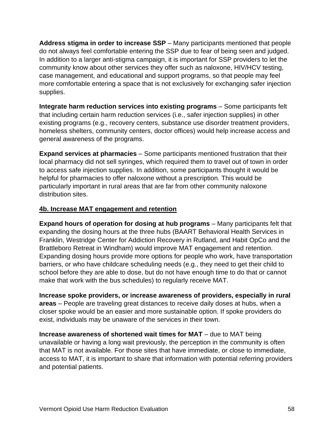**Address stigma in order to increase SSP** – Many participants mentioned that people do not always feel comfortable entering the SSP due to fear of being seen and judged. In addition to a larger anti-stigma campaign, it is important for SSP providers to let the community know about other services they offer such as naloxone, HIV/HCV testing, case management, and educational and support programs, so that people may feel more comfortable entering a space that is not exclusively for exchanging safer injection supplies.

**Integrate harm reduction services into existing programs** – Some participants felt that including certain harm reduction services (i.e., safer injection supplies) in other existing programs (e.g., recovery centers, substance use disorder treatment providers, homeless shelters, community centers, doctor offices) would help increase access and general awareness of the programs.

**Expand services at pharmacies** – Some participants mentioned frustration that their local pharmacy did not sell syringes, which required them to travel out of town in order to access safe injection supplies. In addition, some participants thought it would be helpful for pharmacies to offer naloxone without a prescription. This would be particularly important in rural areas that are far from other community naloxone distribution sites.

#### <span id="page-60-0"></span>**4b. Increase MAT engagement and retention**

**Expand hours of operation for dosing at hub programs** – Many participants felt that expanding the dosing hours at the three hubs (BAART Behavioral Health Services in Franklin, Westridge Center for Addiction Recovery in Rutland, and Habit OpCo and the Brattleboro Retreat in Windham) would improve MAT engagement and retention. Expanding dosing hours provide more options for people who work, have transportation barriers, or who have childcare scheduling needs (e.g., they need to get their child to school before they are able to dose, but do not have enough time to do that or cannot make that work with the bus schedules) to regularly receive MAT.

**Increase spoke providers, or increase awareness of providers, especially in rural areas** – People are traveling great distances to receive daily doses at hubs, when a closer spoke would be an easier and more sustainable option. If spoke providers do exist, individuals may be unaware of the services in their town.

**Increase awareness of shortened wait times for MAT** – due to MAT being unavailable or having a long wait previously, the perception in the community is often that MAT is not available. For those sites that have immediate, or close to immediate, access to MAT, it is important to share that information with potential referring providers and potential patients.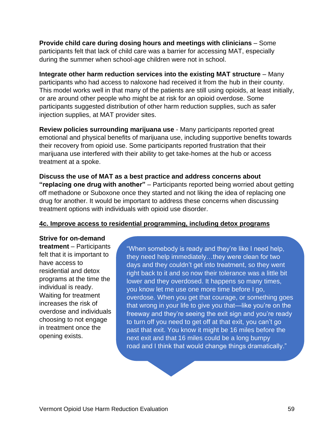**Provide child care during dosing hours and meetings with clinicians** – Some participants felt that lack of child care was a barrier for accessing MAT, especially during the summer when school-age children were not in school.

**Integrate other harm reduction services into the existing MAT structure** – Many participants who had access to naloxone had received it from the hub in their county. This model works well in that many of the patients are still using opioids, at least initially, or are around other people who might be at risk for an opioid overdose. Some participants suggested distribution of other harm reduction supplies, such as safer injection supplies, at MAT provider sites.

**Review policies surrounding marijuana use** - Many participants reported great emotional and physical benefits of marijuana use, including supportive benefits towards their recovery from opioid use. Some participants reported frustration that their marijuana use interfered with their ability to get take-homes at the hub or access treatment at a spoke.

**Discuss the use of MAT as a best practice and address concerns about "replacing one drug with another"** – Participants reported being worried about getting off methadone or Suboxone once they started and not liking the idea of replacing one drug for another. It would be important to address these concerns when discussing treatment options with individuals with opioid use disorder.

#### <span id="page-61-0"></span>**4c. Improve access to residential programming, including detox programs**

**Strive for on-demand treatment** – Participants felt that it is important to have access to residential and detox programs at the time the individual is ready. Waiting for treatment increases the risk of overdose and individuals choosing to not engage in treatment once the opening exists.

"When somebody is ready and they're like I need help, they need help immediately…they were clean for two days and they couldn't get into treatment, so they went right back to it and so now their tolerance was a little bit lower and they overdosed. It happens so many times, you know let me use one more time before I go, overdose. When you get that courage, or something goes that wrong in your life to give you that—like you're on the freeway and they're seeing the exit sign and you're ready to turn off you need to get off at that exit, you can't go past that exit. You know it might be 16 miles before the next exit and that 16 miles could be a long bumpy road and I think that would change things dramatically."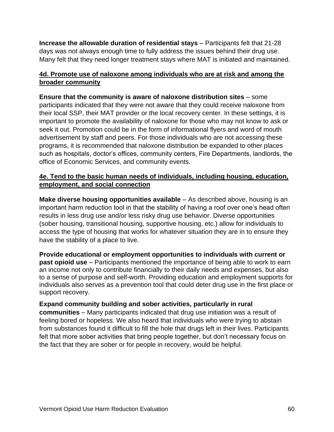**Increase the allowable duration of residential stays** – Participants felt that 21-28 days was not always enough time to fully address the issues behind their drug use. Many felt that they need longer treatment stays where MAT is initiated and maintained.

#### <span id="page-62-0"></span>**4d. Promote use of naloxone among individuals who are at risk and among the broader community**

**Ensure that the community is aware of naloxone distribution sites** – some participants indicated that they were not aware that they could receive naloxone from their local SSP, their MAT provider or the local recovery center. In these settings, it is important to promote the availability of naloxone for those who may not know to ask or seek it out. Promotion could be in the form of informational flyers and word of mouth advertisement by staff and peers. For those individuals who are not accessing these programs, it is recommended that naloxone distribution be expanded to other places such as hospitals, doctor's offices, community centers, Fire Departments, landlords, the office of Economic Services, and community events.

#### <span id="page-62-1"></span>**4e. Tend to the basic human needs of individuals, including housing, education, employment, and social connection**

**Make diverse housing opportunities available** – As described above, housing is an important harm reduction tool in that the stability of having a roof over one's head often results in less drug use and/or less risky drug use behavior. Diverse opportunities (sober housing, transitional housing, supportive housing, etc.) allow for individuals to access the type of housing that works for whatever situation they are in to ensure they have the stability of a place to live.

**Provide educational or employment opportunities to individuals with current or past opioid use** – Participants mentioned the importance of being able to work to earn an income not only to contribute financially to their daily needs and expenses, but also to a sense of purpose and self-worth. Providing education and employment supports for individuals also serves as a prevention tool that could deter drug use in the first place or support recovery.

**Expand community building and sober activities, particularly in rural communities** – Many participants indicated that drug use initiation was a result of feeling bored or hopeless. We also heard that individuals who were trying to abstain from substances found it difficult to fill the hole that drugs left in their lives. Participants felt that more sober activities that bring people together, but don't necessary focus on the fact that they are sober or for people in recovery, would be helpful.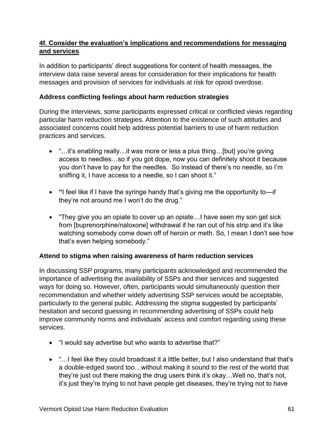#### <span id="page-63-0"></span>**4f. Consider the evaluation's implications and recommendations for messaging and services**

In addition to participants' direct suggestions for content of health messages, the interview data raise several areas for consideration for their implications for health messages and provision of services for individuals at risk for opioid overdose.

#### **Address conflicting feelings about harm reduction strategies**

During the interviews, some participants expressed critical or conflicted views regarding particular harm reduction strategies. Attention to the existence of such attitudes and associated concerns could help address potential barriers to use of harm reduction practices and services.

- "…it's enabling really…it was more or less a plus thing…[but] you're giving access to needles…so if you got dope, now you can definitely shoot it because you don't have to pay for the needles. So instead of there's no needle, so I'm sniffing it, I have access to a needle, so I can shoot it."
- **"**I feel like if I have the syringe handy that's giving me the opportunity to—if they're not around me I won't do the drug."
- "They give you an opiate to cover up an opiate…I have seen my son get sick from [buprenorphine/naloxone] withdrawal if he ran out of his strip and it's like watching somebody come down off of heroin or meth. So, I mean I don't see how that's even helping somebody."

#### **Attend to stigma when raising awareness of harm reduction services**

In discussing SSP programs, many participants acknowledged and recommended the importance of advertising the availability of SSPs and their services and suggested ways for doing so. However, often, participants would simultaneously question their recommendation and whether widely advertising SSP services would be acceptable, particularly to the general public. Addressing the stigma suggested by participants' hesitation and second guessing in recommending advertising of SSPs could help improve community norms and individuals' access and comfort regarding using these services.

- "I would say advertise but who wants to advertise that?"
- "…I feel like they could broadcast it a little better, but I also understand that that's a double-edged sword too…without making it sound to the rest of the world that they're just out there making the drug users think it's okay…Well no, that's not, it's just they're trying to not have people get diseases, they're trying not to have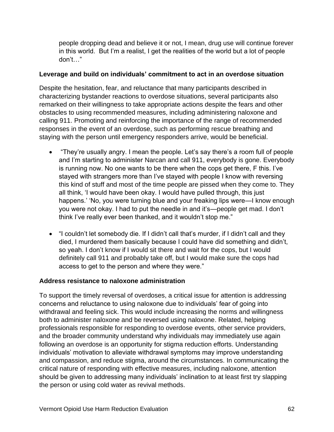people dropping dead and believe it or not, I mean, drug use will continue forever in this world. But I'm a realist, I get the realities of the world but a lot of people don't…"

#### **Leverage and build on individuals' commitment to act in an overdose situation**

Despite the hesitation, fear, and reluctance that many participants described in characterizing bystander reactions to overdose situations, several participants also remarked on their willingness to take appropriate actions despite the fears and other obstacles to using recommended measures, including administering naloxone and calling 911. Promoting and reinforcing the importance of the range of recommended responses in the event of an overdose, such as performing rescue breathing and staying with the person until emergency responders arrive, would be beneficial.

- "They're usually angry. I mean the people. Let's say there's a room full of people and I'm starting to administer Narcan and call 911, everybody is gone. Everybody is running now. No one wants to be there when the cops get there, F this. I've stayed with strangers more than I've stayed with people I know with reversing this kind of stuff and most of the time people are pissed when they come to. They all think, 'I would have been okay. I would have pulled through, this just happens.' 'No, you were turning blue and your freaking lips were—I know enough you were not okay. I had to put the needle in and it's—people get mad. I don't think I've really ever been thanked, and it wouldn't stop me."
- "I couldn't let somebody die. If I didn't call that's murder, if I didn't call and they died, I murdered them basically because I could have did something and didn't, so yeah. I don't know if I would sit there and wait for the cops, but I would definitely call 911 and probably take off, but I would make sure the cops had access to get to the person and where they were."

#### **Address resistance to naloxone administration**

To support the timely reversal of overdoses, a critical issue for attention is addressing concerns and reluctance to using naloxone due to individuals' fear of going into withdrawal and feeling sick. This would include increasing the norms and willingness both to administer naloxone and be reversed using naloxone. Related, helping professionals responsible for responding to overdose events, other service providers, and the broader community understand why individuals may immediately use again following an overdose is an opportunity for stigma reduction efforts. Understanding individuals' motivation to alleviate withdrawal symptoms may improve understanding and compassion, and reduce stigma, around the circumstances. In communicating the critical nature of responding with effective measures, including naloxone, attention should be given to addressing many individuals' inclination to at least first try slapping the person or using cold water as revival methods.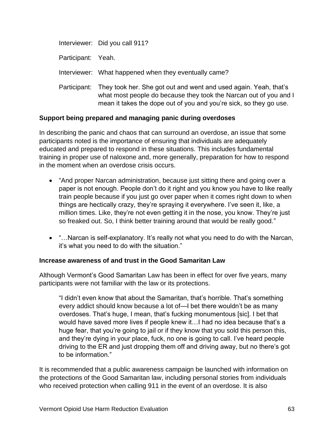|                    | Interviewer: Did you call 911?                                                                                                                                                                              |
|--------------------|-------------------------------------------------------------------------------------------------------------------------------------------------------------------------------------------------------------|
| Participant: Yeah. |                                                                                                                                                                                                             |
|                    | Interviewer: What happened when they eventually came?                                                                                                                                                       |
| Participant:       | They took her. She got out and went and used again. Yeah, that's<br>what most people do because they took the Narcan out of you and I<br>mean it takes the dope out of you and you're sick, so they go use. |

#### **Support being prepared and managing panic during overdoses**

In describing the panic and chaos that can surround an overdose, an issue that some participants noted is the importance of ensuring that individuals are adequately educated and prepared to respond in these situations. This includes fundamental training in proper use of naloxone and, more generally, preparation for how to respond in the moment when an overdose crisis occurs.

- "And proper Narcan administration, because just sitting there and going over a paper is not enough. People don't do it right and you know you have to like really train people because if you just go over paper when it comes right down to when things are hectically crazy, they're spraying it everywhere. I've seen it, like, a million times. Like, they're not even getting it in the nose, you know. They're just so freaked out. So, I think better training around that would be really good."
- "…Narcan is self-explanatory. It's really not what you need to do with the Narcan, it's what you need to do with the situation."

#### **Increase awareness of and trust in the Good Samaritan Law**

Although Vermont's Good Samaritan Law has been in effect for over five years, many participants were not familiar with the law or its protections.

"I didn't even know that about the Samaritan, that's horrible. That's something every addict should know because a lot of—I bet there wouldn't be as many overdoses. That's huge, I mean, that's fucking monumentous [sic]. I bet that would have saved more lives if people knew it…I had no idea because that's a huge fear, that you're going to jail or if they know that you sold this person this, and they're dying in your place, fuck, no one is going to call. I've heard people driving to the ER and just dropping them off and driving away, but no there's got to be information."

It is recommended that a public awareness campaign be launched with information on the protections of the Good Samaritan law, including personal stories from individuals who received protection when calling 911 in the event of an overdose. It is also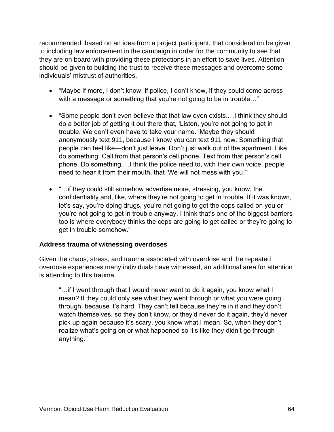recommended, based on an idea from a project participant, that consideration be given to including law enforcement in the campaign in order for the community to see that they are on board with providing these protections in an effort to save lives. Attention should be given to building the trust to receive these messages and overcome some individuals' mistrust of authorities.

- "Maybe if more, I don't know, if police, I don't know, if they could come across with a message or something that you're not going to be in trouble..."
- "Some people don't even believe that that law even exists.…I think they should do a better job of getting it out there that, 'Listen, you're not going to get in trouble. We don't even have to take your name.' Maybe they should anonymously text 911, because I know you can text 911 now. Something that people can feel like—don't just leave. Don't just walk out of the apartment. Like do something. Call from that person's cell phone. Text from that person's cell phone. Do something.…I think the police need to, with their own voice, people need to hear it from their mouth, that 'We will not mess with you.'"
- "... if they could still somehow advertise more, stressing, you know, the confidentiality and, like, where they're not going to get in trouble. If it was known, let's say, you're doing drugs, you're not going to get the cops called on you or you're not going to get in trouble anyway. I think that's one of the biggest barriers too is where everybody thinks the cops are going to get called or they're going to get in trouble somehow."

#### **Address trauma of witnessing overdoses**

Given the chaos, stress, and trauma associated with overdose and the repeated overdose experiences many individuals have witnessed, an additional area for attention is attending to this trauma.

"…if I went through that I would never want to do it again, you know what I mean? If they could only see what they went through or what you were going through, because it's hard. They can't tell because they're in it and they don't watch themselves, so they don't know, or they'd never do it again, they'd never pick up again because it's scary, you know what I mean. So, when they don't realize what's going on or what happened so it's like they didn't go through anything."